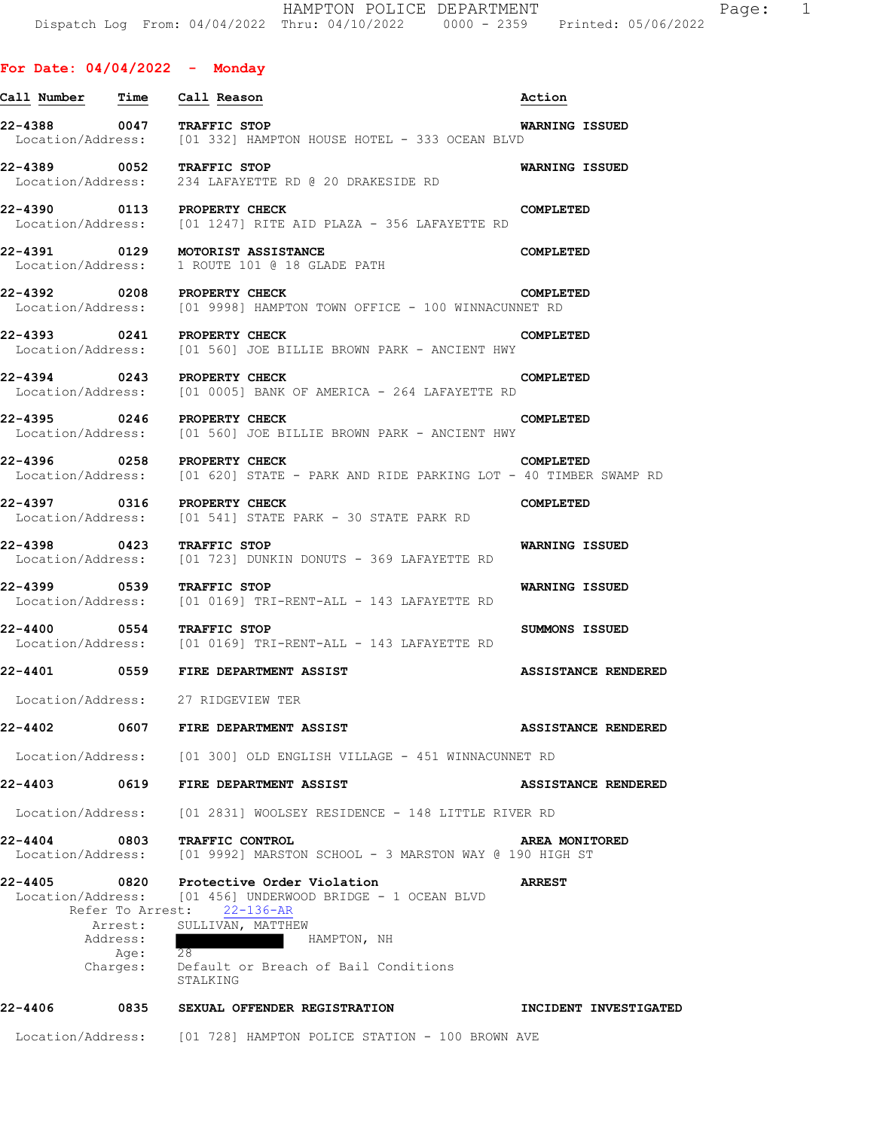| <u>Call Number Time</u>   |          | Call Reason                                                                                                                                                                                                                                     | Action                     |
|---------------------------|----------|-------------------------------------------------------------------------------------------------------------------------------------------------------------------------------------------------------------------------------------------------|----------------------------|
| 22-4388 0047 TRAFFIC STOP |          | Location/Address: [01 332] HAMPTON HOUSE HOTEL - 333 OCEAN BLVD                                                                                                                                                                                 | <b>WARNING ISSUED</b>      |
| 22-4389 0052 TRAFFIC STOP |          | Location/Address: 234 LAFAYETTE RD @ 20 DRAKESIDE RD                                                                                                                                                                                            | <b>WARNING ISSUED</b>      |
|                           |          | 22-4390 0113 PROPERTY CHECK<br>Location/Address: [01 1247] RITE AID PLAZA - 356 LAFAYETTE RD                                                                                                                                                    | COMPLETED                  |
|                           |          | 22-4391 0129 MOTORIST ASSISTANCE<br>Location/Address: 1 ROUTE 101 @ 18 GLADE PATH                                                                                                                                                               | COMPLETED                  |
|                           |          | 22-4392 0208 PROPERTY CHECK<br>Location/Address: [01 9998] HAMPTON TOWN OFFICE - 100 WINNACUNNET RD                                                                                                                                             | COMPLETED                  |
|                           |          | 22-4393 0241 PROPERTY CHECK<br>Location/Address: [01 560] JOE BILLIE BROWN PARK - ANCIENT HWY                                                                                                                                                   | COMPLETED                  |
|                           |          | 22-4394 0243 PROPERTY CHECK<br>Location/Address: [01 0005] BANK OF AMERICA - 264 LAFAYETTE RD                                                                                                                                                   | COMPLETED                  |
| 22-4395 0246              |          | PROPERTY CHECK<br>Location/Address: [01 560] JOE BILLIE BROWN PARK - ANCIENT HWY                                                                                                                                                                | COMPLETED                  |
|                           |          | 22-4396 0258 PROPERTY CHECK<br>Location/Address: [01 620] STATE - PARK AND RIDE PARKING LOT - 40 TIMBER SWAMP RD                                                                                                                                | COMPLETED                  |
|                           |          | 22-4397 0316 PROPERTY CHECK<br>Location/Address: [01 541] STATE PARK - 30 STATE PARK RD                                                                                                                                                         | COMPLETED                  |
| 22-4398                   |          | 0423 TRAFFIC STOP<br>Location/Address: [01 723] DUNKIN DONUTS - 369 LAFAYETTE RD                                                                                                                                                                | WARNING ISSUED             |
| 22-4399 0539 TRAFFIC STOP |          | Location/Address: [01 0169] TRI-RENT-ALL - 143 LAFAYETTE RD                                                                                                                                                                                     | WARNING ISSUED             |
| 22-4400                   | 0554     | TRAFFIC STOP<br>Location/Address: [01 0169] TRI-RENT-ALL - 143 LAFAYETTE RD                                                                                                                                                                     | SUMMONS ISSUED             |
|                           |          | 22-4401 0559 FIRE DEPARTMENT ASSIST                                                                                                                                                                                                             | <b>ASSISTANCE RENDERED</b> |
|                           |          | Location/Address: 27 RIDGEVIEW TER                                                                                                                                                                                                              |                            |
|                           |          |                                                                                                                                                                                                                                                 | <b>ASSISTANCE RENDERED</b> |
|                           |          | Location/Address: [01 300] OLD ENGLISH VILLAGE - 451 WINNACUNNET RD                                                                                                                                                                             |                            |
|                           |          |                                                                                                                                                                                                                                                 | ASSISTANCE RENDERED        |
|                           |          | Location/Address: [01 2831] WOOLSEY RESIDENCE - 148 LITTLE RIVER RD                                                                                                                                                                             |                            |
|                           |          | 22-4404 0803 TRAFFIC CONTROL<br>Location/Address: [01 9992] MARSTON SCHOOL - 3 MARSTON WAY @ 190 HIGH ST                                                                                                                                        | AREA MONITORED             |
| 22-4405                   | Address: | 0820 Protective Order Violation<br>Location/Address: [01 456] UNDERWOOD BRIDGE - 1 OCEAN BLVD<br>Refer To Arrest: 22-136-AR<br>Arrest: SULLIVAN, MATTHEW<br>HAMPTON, NH<br>Age: 28<br>Charges: Default or Breach of Bail Conditions<br>STALKING | <b>ARREST</b>              |

**22-4406 0835 SEXUAL OFFENDER REGISTRATION INCIDENT INVESTIGATED** 

Location/Address: [01 728] HAMPTON POLICE STATION - 100 BROWN AVE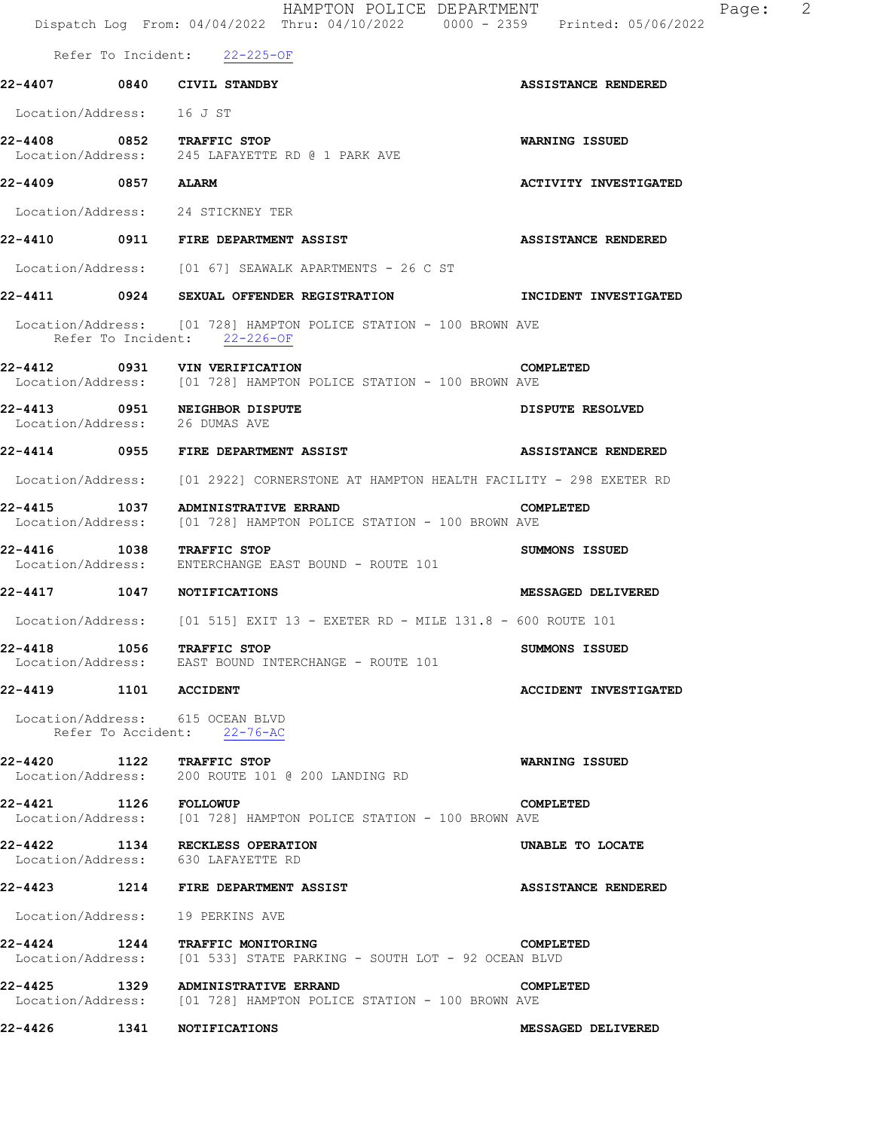|                                | HAMPTON POLICE DEPARTMENT<br>Dispatch Log From: 04/04/2022 Thru: 04/10/2022 0000 - 2359 Printed: 05/06/2022 | Page: 2                      |
|--------------------------------|-------------------------------------------------------------------------------------------------------------|------------------------------|
|                                | Refer To Incident: 22-225-OF                                                                                |                              |
| 22-4407 0840 CIVIL STANDBY     |                                                                                                             | <b>ASSISTANCE RENDERED</b>   |
| Location/Address: 16 J ST      |                                                                                                             |                              |
| 22-4408 0852 TRAFFIC STOP      | Location/Address: 245 LAFAYETTE RD @ 1 PARK AVE                                                             | WARNING ISSUED               |
| 22-4409 0857 ALARM             |                                                                                                             | <b>ACTIVITY INVESTIGATED</b> |
|                                | Location/Address: 24 STICKNEY TER                                                                           |                              |
|                                | 22-4410 0911 FIRE DEPARTMENT ASSIST                                                                         | <b>ASSISTANCE RENDERED</b>   |
|                                | Location/Address: [01 67] SEAWALK APARTMENTS - 26 C ST                                                      |                              |
|                                | 22-4411 0924 SEXUAL OFFENDER REGISTRATION TINCIDENT INVESTIGATED                                            |                              |
|                                | Location/Address: [01 728] HAMPTON POLICE STATION - 100 BROWN AVE<br>Refer To Incident: 22-226-OF           |                              |
|                                | 22-4412 0931 VIN VERIFICATION<br>Location/Address: [01 728] HAMPTON POLICE STATION - 100 BROWN AVE          | COMPLETED                    |
| Location/Address: 26 DUMAS AVE | 22-4413 0951 NEIGHBOR DISPUTE                                                                               | DISPUTE RESOLVED             |
|                                | 22-4414 0955 FIRE DEPARTMENT ASSIST                                                                         | <b>ASSISTANCE RENDERED</b>   |
|                                | Location/Address: [01 2922] CORNERSTONE AT HAMPTON HEALTH FACILITY - 298 EXETER RD                          |                              |
| 22-4415                        | 1037 ADMINISTRATIVE ERRAND<br>Location/Address: [01 728] HAMPTON POLICE STATION - 100 BROWN AVE             | COMPLETED                    |
| 22-4416 1038 TRAFFIC STOP      | Location/Address: ENTERCHANGE EAST BOUND - ROUTE 101                                                        | SUMMONS ISSUED               |
| 22-4417 1047 NOTIFICATIONS     |                                                                                                             | <b>MESSAGED DELIVERED</b>    |
|                                | Location/Address: $[01\;515]$ EXIT 13 - EXETER RD - MILE 131.8 - 600 ROUTE 101                              |                              |
| 22-4418 1056 TRAFFIC STOP      | Location/Address: EAST BOUND INTERCHANGE - ROUTE 101                                                        | SUMMONS ISSUED               |
| 22-4419 1101 ACCIDENT          |                                                                                                             | <b>ACCIDENT INVESTIGATED</b> |
|                                | Location/Address: 615 OCEAN BLVD<br>Refer To Accident: 22-76-AC                                             |                              |
| 22-4420 1122 TRAFFIC STOP      | Location/Address: 200 ROUTE 101 @ 200 LANDING RD                                                            | WARNING ISSUED               |
| <b>22-4421 1126 FOLLOWUP</b>   | Location/Address: [01 728] HAMPTON POLICE STATION - 100 BROWN AVE                                           | <b>COMPLETED</b>             |
|                                | 22-4422 1134 RECKLESS OPERATION<br>Location/Address: 630 LAFAYETTE RD                                       | UNABLE TO LOCATE             |
|                                |                                                                                                             | <b>ASSISTANCE RENDERED</b>   |
|                                | Location/Address: 19 PERKINS AVE                                                                            |                              |
|                                | 22-4424 1244 TRAFFIC MONITORING<br>Location/Address: [01 533] STATE PARKING - SOUTH LOT - 92 OCEAN BLVD     | COMPLETED                    |
|                                | 22-4425 1329 ADMINISTRATIVE ERRAND<br>Location/Address: [01 728] HAMPTON POLICE STATION - 100 BROWN AVE     | COMPLETED                    |
| 22-4426                        | <b>1341 NOTIFICATIONS</b>                                                                                   | MESSAGED DELIVERED           |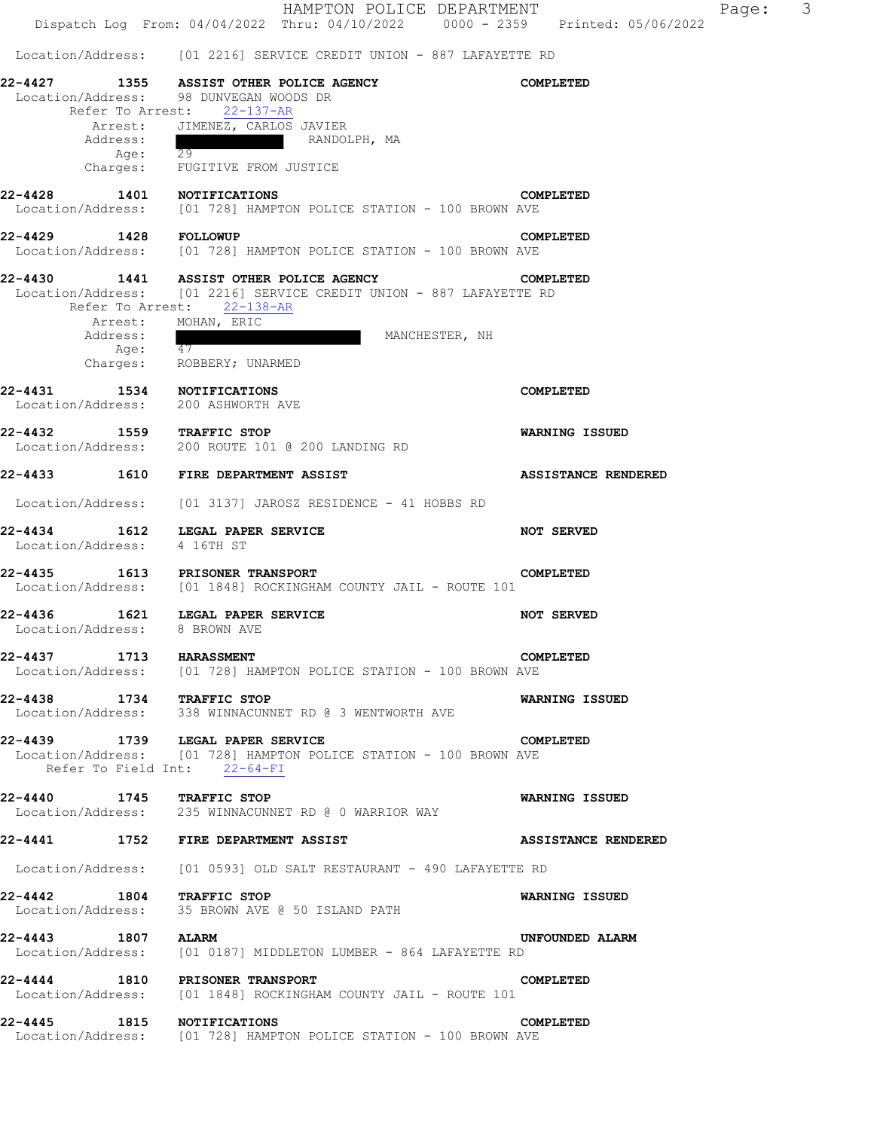**22-4427 1355 ASSIST OTHER POLICE AGENCY COMPLETED**  Location/Address: 98 DUNVEGAN WOODS DR Refer To Arrest: 22-137-AR Arrest: JIMENEZ, CARLOS JAVIER<br>Address: RANDOI RANDOLPH, MA Age: 29 Charges: FUGITIVE FROM JUSTICE **22-4428 1401 NOTIFICATIONS COMPLETED**  Location/Address: [01 728] HAMPTON POLICE STATION - 100 BROWN AVE **22-4429 1428 FOLLOWUP COMPLETED**  Location/Address: [01 728] HAMPTON POLICE STATION - 100 BROWN AVE **22-4430 1441 ASSIST OTHER POLICE AGENCY COMPLETED**  Location/Address: [01 2216] SERVICE CREDIT UNION - 887 LAFAYETTE RD Refer To Arrest: 22-138-AR Arrest: MOHAN, ERIC<br>Address: MANCHESTER, NH Age:  $\overline{47}$  Charges: ROBBERY; UNARMED **22-4431 1534 NOTIFICATIONS COMPLETED**<br>
Location/Address: 200 ASHWORTH AVE Location/Address: **22-4432 1559 TRAFFIC STOP WARNING ISSUED**  Location/Address: 200 ROUTE 101 @ 200 LANDING RD **22-4433 1610 FIRE DEPARTMENT ASSIST ASSISTANCE RENDERED**  Location/Address: [01 3137] JAROSZ RESIDENCE - 41 HOBBS RD **22-4434 1612 LEGAL PAPER SERVICE NOT SERVED**  Location/Address: 4 16TH ST **22-4435 1613 PRISONER TRANSPORT COMPLETED**  Location/Address: [01 1848] ROCKINGHAM COUNTY JAIL - ROUTE 101 **22-4436 1621 LEGAL PAPER SERVICE NOT SERVED**  Location/Address: 8 BROWN AVE **22-4437 1713 HARASSMENT COMPLETED**  Location/Address: [01 728] HAMPTON POLICE STATION - 100 BROWN AVE **22-4438 1734 TRAFFIC STOP 1888 1888 1888 NARNING ISSUED**<br>Location/Address: 338 WINNACUNNET RD @ 3 WENTWORTH AVE 338 WINNACUNNET RD @ 3 WENTWORTH AVE **22-4439 1739 LEGAL PAPER SERVICE COMPLETED**<br>Location/Address: [01 728] HAMPTON POLICE STATION - 100 BROWN AVE [01 728] HAMPTON POLICE STATION - 100 BROWN AVE Refer To Field Int: 22-64-FI **22-4440 1745 TRAFFIC STOP WARNING ISSUED**  Location/Address: 235 WINNACUNNET RD @ 0 WARRIOR WAY **22-4441 1752 FIRE DEPARTMENT ASSIST ASSISTANCE RENDERED**  Location/Address: [01 0593] OLD SALT RESTAURANT - 490 LAFAYETTE RD **22-4442 1804 TRAFFIC STOP WARNING ISSUED**  Location/Address: 35 BROWN AVE @ 50 ISLAND PATH **22-4443 1807 ALARM UNFOUNDED ALARM**  Location/Address: [01 0187] MIDDLETON LUMBER - 864 LAFAYETTE RD **22-4444 1810 PRISONER TRANSPORT COMPLETED**  Location/Address: [01 1848] ROCKINGHAM COUNTY JAIL - ROUTE 101 **22-4445 1815 NOTIFICATIONS COMPLETED**  Location/Address: [01 728] HAMPTON POLICE STATION - 100 BROWN AVE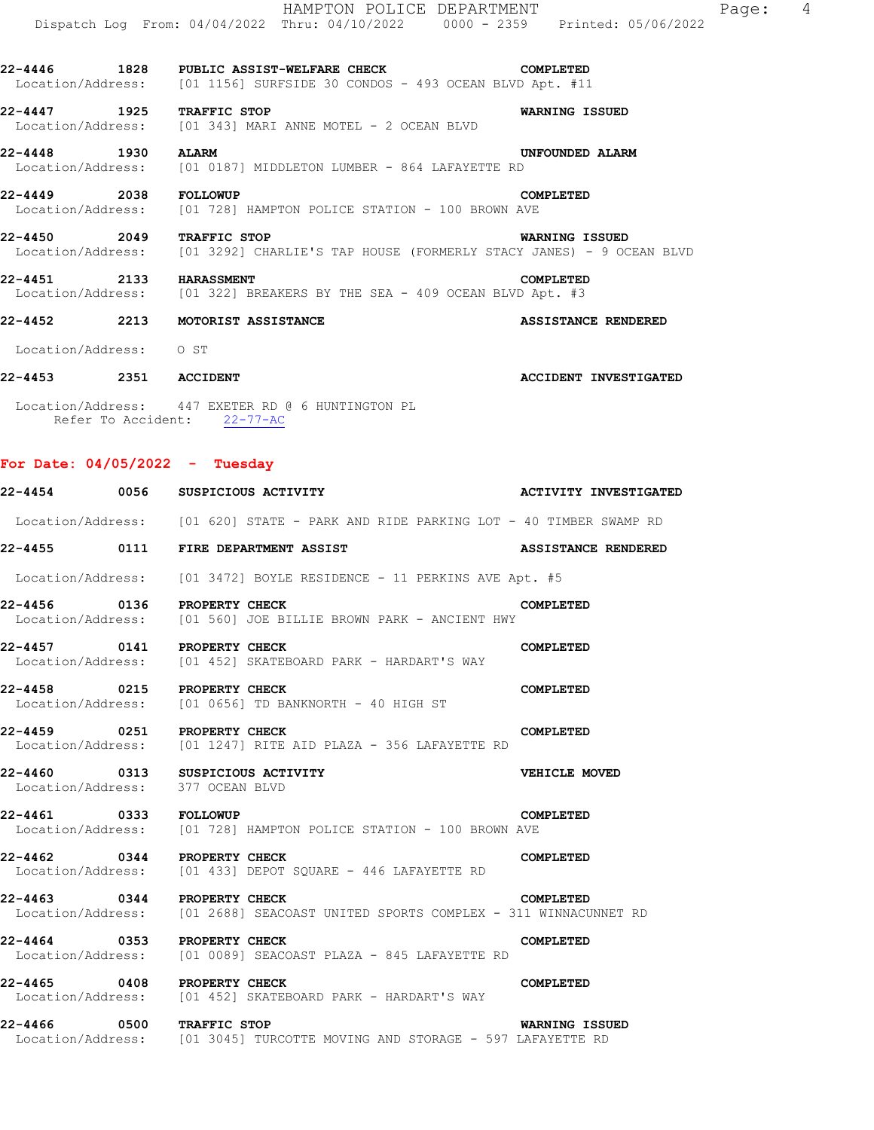|                                  | HAMPTON POLICE DEPARTMENT<br>Dispatch Log From: 04/04/2022 Thru: 04/10/2022 0000 - 2359 Printed: 05/06/2022                    |                              |
|----------------------------------|--------------------------------------------------------------------------------------------------------------------------------|------------------------------|
|                                  | 22-4446 1828 PUBLIC ASSIST-WELFARE CHECK COMPLETED<br>Location/Address: [01 1156] SURFSIDE 30 CONDOS - 493 OCEAN BLVD Apt. #11 |                              |
| 22-4447 1925 TRAFFIC STOP        | Location/Address: [01 343] MARI ANNE MOTEL - 2 OCEAN BLVD                                                                      | <b>WARNING ISSUED</b>        |
| 22-4448 1930 ALARM               | Location/Address: [01 0187] MIDDLETON LUMBER - 864 LAFAYETTE RD                                                                | UNFOUNDED ALARM              |
| 22-4449 2038 FOLLOWUP            | Location/Address: [01 728] HAMPTON POLICE STATION - 100 BROWN AVE                                                              | <b>COMPLETED</b>             |
| 22-4450 2049 TRAFFIC STOP        | Location/Address: [01 3292] CHARLIE'S TAP HOUSE (FORMERLY STACY JANES) - 9 OCEAN BLVD                                          | WARNING ISSUED               |
| 22-4451 2133 HARASSMENT          | Location/Address: [01 322] BREAKERS BY THE SEA - 409 OCEAN BLVD Apt. #3                                                        | COMPLETED                    |
|                                  | 22-4452 2213 MOTORIST ASSISTANCE                                                                                               | ASSISTANCE RENDERED          |
| Location/Address: 0 ST           |                                                                                                                                |                              |
| 22-4453 2351 ACCIDENT            |                                                                                                                                | <b>ACCIDENT INVESTIGATED</b> |
|                                  | Location/Address: 447 EXETER RD @ 6 HUNTINGTON PL<br>Refer To Accident: 22-77-AC                                               |                              |
| For Date: $04/05/2022 - Tuesday$ |                                                                                                                                |                              |
|                                  | 22-4454 0056 SUSPICIOUS ACTIVITY                                                                                               | <b>ACTIVITY INVESTIGATED</b> |
|                                  | Location/Address: [01 620] STATE - PARK AND RIDE PARKING LOT - 40 TIMBER SWAMP RD                                              |                              |
|                                  | 22-4455 0111 FIRE DEPARTMENT ASSIST                                                                                            | ASSISTANCE RENDERED          |
|                                  | Location/Address: [01 3472] BOYLE RESIDENCE - 11 PERKINS AVE Apt. #5                                                           |                              |
| 22-4456 0136 PROPERTY CHECK      | Location/Address: [01 560] JOE BILLIE BROWN PARK - ANCIENT HWY                                                                 | COMPLETED                    |
| 22-4457 0141 PROPERTY CHECK      | Location/Address: [01 452] SKATEBOARD PARK - HARDART'S WAY                                                                     | <b>COMPLETED</b>             |
| 22-4458 0215 PROPERTY CHECK      | Location/Address: [01 0656] TD BANKNORTH - 40 HIGH ST                                                                          | COMPLETED                    |
| 22-4459 0251 PROPERTY CHECK      | Location/Address: [01 1247] RITE AID PLAZA - 356 LAFAYETTE RD                                                                  | COMPLETED                    |
| Location/Address: 377 OCEAN BLVD | 22-4460 0313 SUSPICIOUS ACTIVITY                                                                                               | VEHICLE MOVED                |
|                                  | 22-4461 0333 FOLLOWUP<br>Location/Address: [01 728] HAMPTON POLICE STATION - 100 BROWN AVE                                     | COMPLETED                    |
| 22-4462 0344 PROPERTY CHECK      | Location/Address: [01 433] DEPOT SQUARE - 446 LAFAYETTE RD                                                                     | <b>COMPLETED</b>             |
|                                  | 22-4463 0344 PROPERTY CHECK COMPLETED<br>Location/Address: [01 2688] SEACOAST UNITED SPORTS COMPLEX - 311 WINNACUNNET RD       |                              |
| 22-4464 0353 PROPERTY CHECK      | Location/Address: [01 0089] SEACOAST PLAZA - 845 LAFAYETTE RD                                                                  | COMPLETED                    |
|                                  | 22-4465 0408 PROPERTY CHECK<br>Location/Address: [01 452] SKATEBOARD PARK - HARDART'S WAY                                      | COMPLETED                    |
| 22-4466 0500 TRAFFIC STOP        | Location/Address: [01 3045] TURCOTTE MOVING AND STORAGE - 597 LAFAYETTE RD                                                     | WARNING ISSUED               |
|                                  |                                                                                                                                |                              |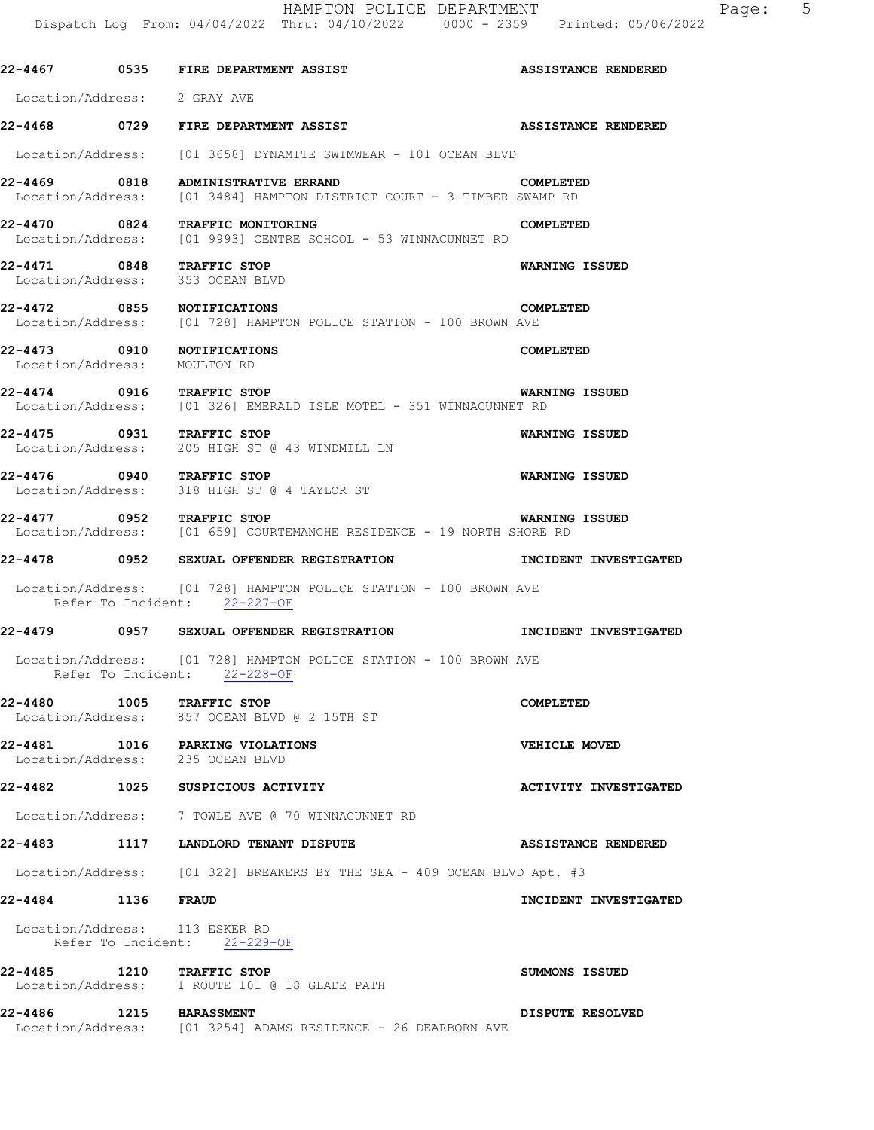**22-4467 0535 FIRE DEPARTMENT ASSIST ASSISTANCE RENDERED**  Location/Address: 2 GRAY AVE **22-4468 0729 FIRE DEPARTMENT ASSIST ASSISTANCE RENDERED**  Location/Address: [01 3658] DYNAMITE SWIMWEAR - 101 OCEAN BLVD **22-4469 0818 ADMINISTRATIVE ERRAND COMPLETED**  Location/Address: [01 3484] HAMPTON DISTRICT COURT - 3 TIMBER SWAMP RD **22-4470 0824 TRAFFIC MONITORING COMPLETED**  Location/Address: [01 9993] CENTRE SCHOOL - 53 WINNACUNNET RD **22-4471 0848 TRAFFIC STOP WARNING ISSUED**  Location/Address: 353 OCEAN BLVD **22-4472 0855 NOTIFICATIONS COMPLETED**  Location/Address: [01 728] HAMPTON POLICE STATION - 100 BROWN AVE **22-4473 0910 NOTIFICATIONS COMPLETED**  Location/Address: MOULTON RD **22-4474 0916 TRAFFIC STOP WARNING ISSUED**  [01 326] EMERALD ISLE MOTEL - 351 WINNACUNNET RD **22-4475 0931 TRAFFIC STOP WARNING ISSUED**  Location/Address: 205 HIGH ST @ 43 WINDMILL LN **22-4476 0940 TRAFFIC STOP WARNING ISSUED**  Location/Address: 318 HIGH ST @ 4 TAYLOR ST **22-4477 0952 TRAFFIC STOP WARNING ISSUED**  Location/Address: [01 659] COURTEMANCHE RESIDENCE - 19 NORTH SHORE RD **22-4478 0952 SEXUAL OFFENDER REGISTRATION INCIDENT INVESTIGATED**  Location/Address: [01 728] HAMPTON POLICE STATION - 100 BROWN AVE Refer To Incident: 22-227-OF **22-4479 0957 SEXUAL OFFENDER REGISTRATION INCIDENT INVESTIGATED**  Location/Address: [01 728] HAMPTON POLICE STATION - 100 BROWN AVE Refer To Incident: 22-228-OF **22-4480 1005 TRAFFIC STOP COMPLETED**  Location/Address: 857 OCEAN BLVD @ 2 15TH ST **22-4481 1016 PARKING VIOLATIONS CONSUMING VIOLATIONS** VEHICLE MOVED Location/Address: **22-4482 1025 SUSPICIOUS ACTIVITY ACTIVITY INVESTIGATED**  Location/Address: 7 TOWLE AVE @ 70 WINNACUNNET RD **22-4483 1117 LANDLORD TENANT DISPUTE ASSISTANCE RENDERED**  Location/Address: [01 322] BREAKERS BY THE SEA - 409 OCEAN BLVD Apt. #3 **22-4484 1136 FRAUD INCIDENT INVESTIGATED**  Location/Address: 113 ESKER RD Refer To Incident: 22-229-OF 22-4485 1210 TRAFFIC STOP **120 CONTACT SUMMONS ISSUED**  Location/Address: 1 ROUTE 101 @ 18 GLADE PATH **22-4486 1215 HARASSMENT DISPUTE RESOLVED**  Location/Address: [01 3254] ADAMS RESIDENCE - 26 DEARBORN AVE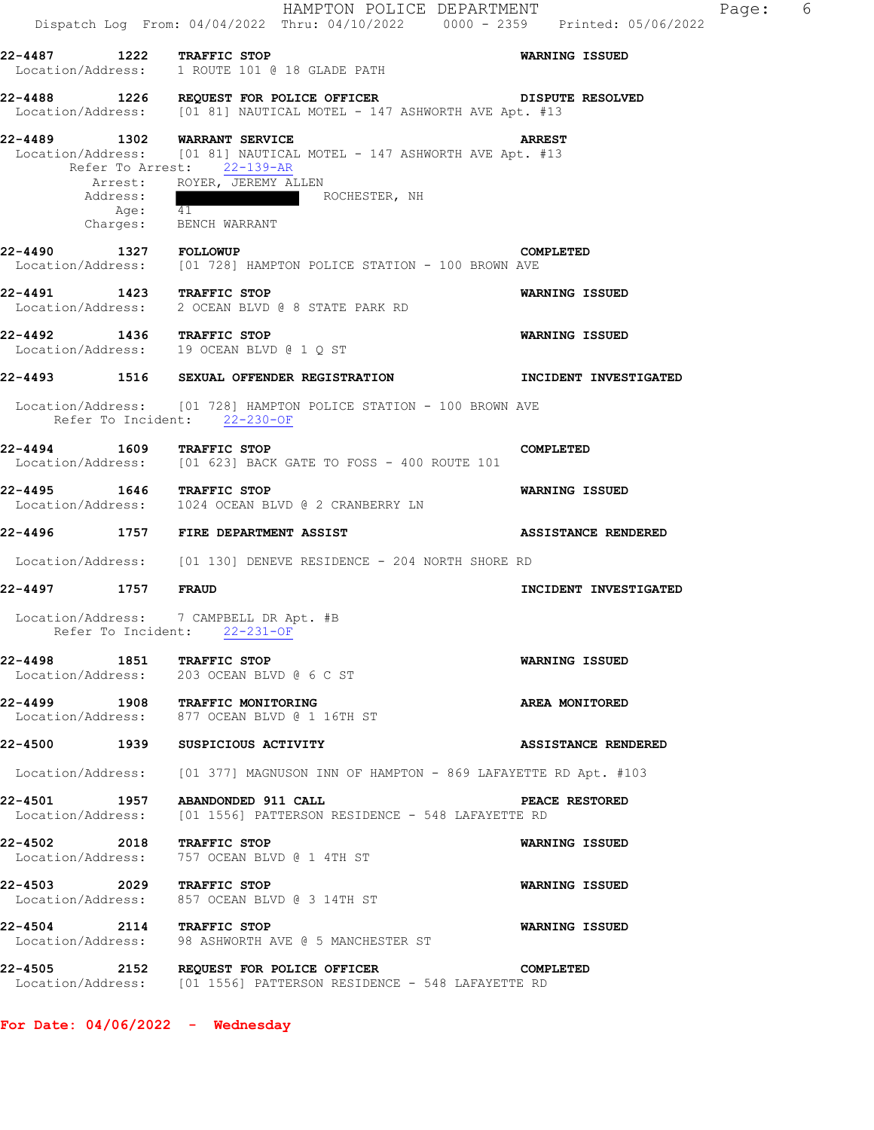|                              | HAMPTON POLICE DEPARTMENT<br>Dispatch Log From: 04/04/2022 Thru: 04/10/2022 0000 - 2359 Printed: 05/06/2022                        |                            |
|------------------------------|------------------------------------------------------------------------------------------------------------------------------------|----------------------------|
|                              | 22-4487 1222 TRAFFIC STOP <b>WARNING ISSUED</b><br>Location/Address: 1 ROUTE 101 @ 18 GLADE PATH                                   |                            |
|                              | 22-4488 1226 REQUEST FOR POLICE OFFICER DISPUTE RESOLVED<br>Location/Address: [01 81] NAUTICAL MOTEL - 147 ASHWORTH AVE Apt. #13   |                            |
|                              | 22-4489 1302 WARRANT SERVICE<br>Location/Address: [01 81] NAUTICAL MOTEL - 147 ASHWORTH AVE Apt. #13<br>Refer To Arrest: 22-139-AR | <b>ARREST</b>              |
| Address:                     | Arrest: ROYER, JEREMY ALLEN<br>ROCHESTER, NH                                                                                       |                            |
|                              | Age: 41<br>Charges: BENCH WARRANT                                                                                                  |                            |
|                              | 22-4490 1327 FOLLOWUP<br>Location/Address: [01 728] HAMPTON POLICE STATION - 100 BROWN AVE                                         | COMPLETED                  |
|                              | 22-4491 1423 TRAFFIC STOP <b>WARNING ISSUED</b><br>Location/Address: 2 OCEAN BLVD @ 8 STATE PARK RD                                |                            |
|                              | 22-4492 1436 TRAFFIC STOP<br>Location/Address: 19 OCEAN BLVD @ 1 Q ST                                                              | <b>WARNING ISSUED</b>      |
|                              | 22-4493 1516 SEXUAL OFFENDER REGISTRATION TINCIDENT INVESTIGATED                                                                   |                            |
| Refer To Incident: 22-230-OF | Location/Address: [01 728] HAMPTON POLICE STATION - 100 BROWN AVE                                                                  |                            |
|                              | 22-4494 1609 TRAFFIC STOP<br>Location/Address: [01 623] BACK GATE TO FOSS - 400 ROUTE 101                                          | COMPLETED                  |
|                              | 22-4495 1646 TRAFFIC STOP<br>Location/Address: 1024 OCEAN BLVD @ 2 CRANBERRY LN                                                    | WARNING ISSUED             |
|                              | 22-4496 1757 FIRE DEPARTMENT ASSIST STARFS ASSISTANCE RENDERED                                                                     |                            |
|                              | Location/Address: [01 130] DENEVE RESIDENCE - 204 NORTH SHORE RD                                                                   |                            |
| 22-4497 1757 FRAUD           |                                                                                                                                    | INCIDENT INVESTIGATED      |
| Refer To Incident: 22-231-OF | Location/Address: 7 CAMPBELL DR Apt. #B                                                                                            |                            |
|                              | 22-4498 1851 TRAFFIC STOP<br>Location/Address: 203 OCEAN BLVD @ 6 C ST                                                             | WARNING ISSUED             |
|                              | 22-4499 1908 TRAFFIC MONITORING<br>Location/Address: 877 OCEAN BLVD @ 1 16TH ST                                                    | AREA MONITORED             |
|                              | 22-4500 1939 SUSPICIOUS ACTIVITY                                                                                                   | <b>ASSISTANCE RENDERED</b> |
|                              | Location/Address: [01 377] MAGNUSON INN OF HAMPTON - 869 LAFAYETTE RD Apt. #103                                                    |                            |
|                              | 22-4501 1957 ABANDONDED 911 CALL<br>Location/Address: [01 1556] PATTERSON RESIDENCE - 548 LAFAYETTE RD                             | PEACE RESTORED             |
| 22-4502 2018 TRAFFIC STOP    | Location/Address: 757 OCEAN BLVD @ 1 4TH ST                                                                                        | <b>WARNING ISSUED</b>      |
|                              | 22-4503 2029 TRAFFIC STOP<br>Location/Address: 857 OCEAN BLVD @ 3 14TH ST                                                          | WARNING ISSUED             |
|                              | 22-4504 2114 TRAFFIC STOP<br>Location/Address: 98 ASHWORTH AVE @ 5 MANCHESTER ST                                                   | <b>WARNING ISSUED</b>      |
|                              | 22-4505 2152 REQUEST FOR POLICE OFFICER COMP<br>Location/Address: [01 1556] PATTERSON RESIDENCE - 548 LAFAYETTE RD                 | COMPLETED                  |

**For Date: 04/06/2022 - Wednesday**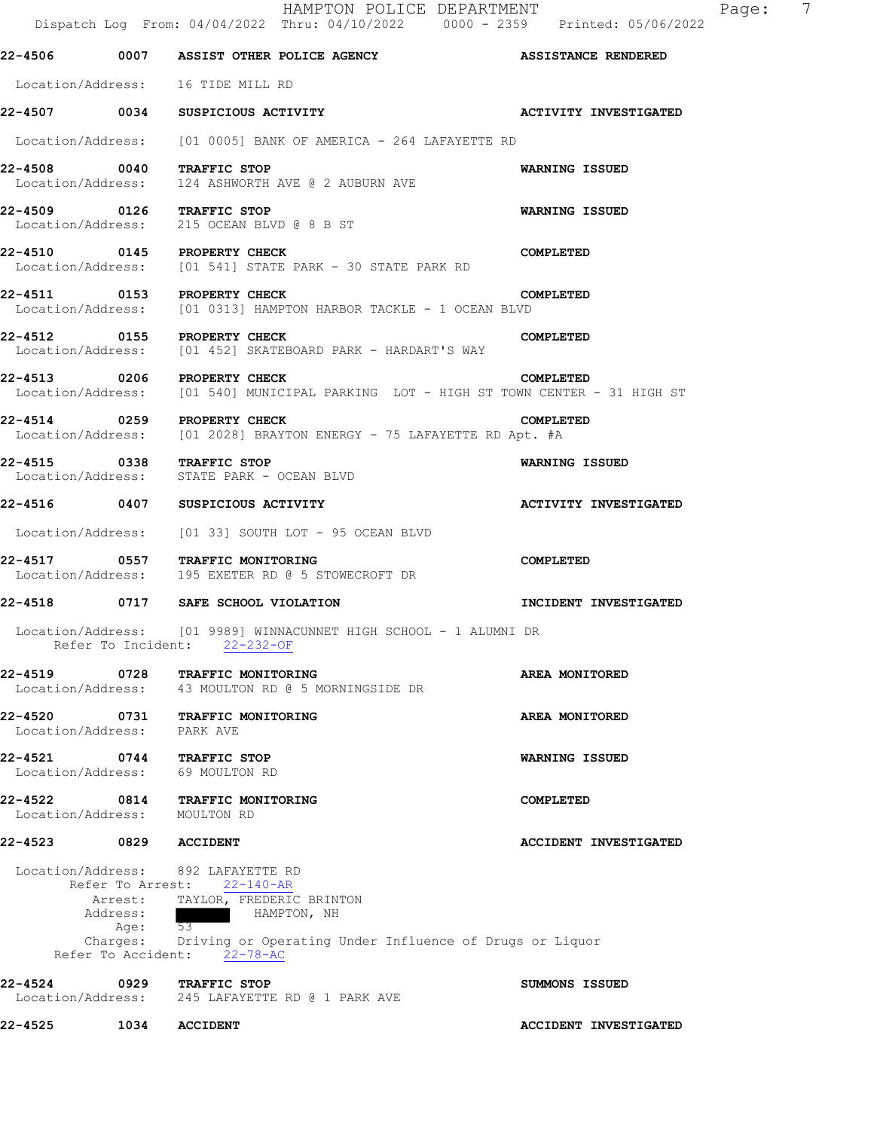|                       |                    | HAMPTON POLICE DEPARTMENT<br>Dispatch Log From: 04/04/2022 Thru: 04/10/2022 0000 - 2359 Printed: 05/06/2022                                                                                                                  | $\overline{7}$<br>Page:      |
|-----------------------|--------------------|------------------------------------------------------------------------------------------------------------------------------------------------------------------------------------------------------------------------------|------------------------------|
|                       |                    | 22-4506 0007 ASSIST OTHER POLICE AGENCY ASSISTANCE RENDERED                                                                                                                                                                  |                              |
|                       |                    | Location/Address: 16 TIDE MILL RD                                                                                                                                                                                            |                              |
|                       |                    | 22-4507 0034 SUSPICIOUS ACTIVITY                                                                                                                                                                                             | <b>ACTIVITY INVESTIGATED</b> |
|                       |                    | Location/Address: [01 0005] BANK OF AMERICA - 264 LAFAYETTE RD                                                                                                                                                               |                              |
|                       |                    | 22-4508 0040 TRAFFIC STOP<br>Location/Address: 124 ASHWORTH AVE @ 2 AUBURN AVE                                                                                                                                               | WARNING ISSUED               |
|                       |                    | 22-4509 0126 TRAFFIC STOP<br>Location/Address: 215 OCEAN BLVD @ 8 B ST                                                                                                                                                       | WARNING ISSUED               |
|                       |                    | 22-4510 0145 PROPERTY CHECK<br>Location/Address: [01 541] STATE PARK - 30 STATE PARK RD                                                                                                                                      | COMPLETED                    |
|                       |                    | 22-4511 0153 PROPERTY CHECK<br>Location/Address: [01 0313] HAMPTON HARBOR TACKLE - 1 OCEAN BLVD                                                                                                                              | COMPLETED                    |
|                       |                    | 22-4512 0155 PROPERTY CHECK<br>Location/Address: [01 452] SKATEBOARD PARK - HARDART'S WAY                                                                                                                                    | COMPLETED                    |
|                       |                    | 22-4513 0206 PROPERTY CHECK<br>Location/Address: [01 540] MUNICIPAL PARKING LOT - HIGH ST TOWN CENTER - 31 HIGH ST                                                                                                           | COMPLETED                    |
|                       |                    | 22-4514 0259 PROPERTY CHECK<br>Location/Address: [01 2028] BRAYTON ENERGY - 75 LAFAYETTE RD Apt. #A                                                                                                                          | COMPLETED                    |
|                       |                    | 22-4515 0338 TRAFFIC STOP<br>Location/Address: STATE PARK - OCEAN BLVD                                                                                                                                                       | WARNING ISSUED               |
|                       |                    | 22-4516 0407 SUSPICIOUS ACTIVITY                                                                                                                                                                                             | <b>ACTIVITY INVESTIGATED</b> |
|                       |                    | Location/Address: [01 33] SOUTH LOT - 95 OCEAN BLVD                                                                                                                                                                          |                              |
|                       |                    | 22-4517 0557 TRAFFIC MONITORING<br>Location/Address: 195 EXETER RD @ 5 STOWECROFT DR                                                                                                                                         | COMPLETED                    |
|                       |                    | 22-4518 0717 SAFE SCHOOL VIOLATION                                                                                                                                                                                           | INCIDENT INVESTIGATED        |
|                       | Refer To Incident: | Location/Address: [01 9989] WINNACUNNET HIGH SCHOOL - 1 ALUMNI DR<br>$22 - 232 - 0F$                                                                                                                                         |                              |
| 22-4519               |                    | 0728 TRAFFIC MONITORING<br>Location/Address: 43 MOULTON RD @ 5 MORNINGSIDE DR                                                                                                                                                | AREA MONITORED               |
| Location/Address:     |                    | 22-4520 0731 TRAFFIC MONITORING<br>PARK AVE                                                                                                                                                                                  | AREA MONITORED               |
|                       |                    | 22-4521 0744 TRAFFIC STOP<br>Location/Address: 69 MOULTON RD                                                                                                                                                                 | <b>WARNING ISSUED</b>        |
|                       |                    | 22-4522 0814 TRAFFIC MONITORING<br>Location/Address: MOULTON RD                                                                                                                                                              | COMPLETED                    |
| 22-4523 0829 ACCIDENT |                    |                                                                                                                                                                                                                              | <b>ACCIDENT INVESTIGATED</b> |
|                       | Address:<br>Age:   | Location/Address: 892 LAFAYETTE RD<br>Refer To Arrest: 22-140-AR<br>Arrest: TAYLOR, FREDERIC BRINTON<br>HAMPTON, NH<br>53<br>Charges: Driving or Operating Under Influence of Drugs or Liquor<br>Refer To Accident: 22-78-AC |                              |
|                       |                    | 22-4524 0929 TRAFFIC STOP<br>Location/Address: 245 LAFAYETTE RD @ 1 PARK AVE                                                                                                                                                 | SUMMONS ISSUED               |
| 22-4525               | 1034               | <b>ACCIDENT</b>                                                                                                                                                                                                              | <b>ACCIDENT INVESTIGATED</b> |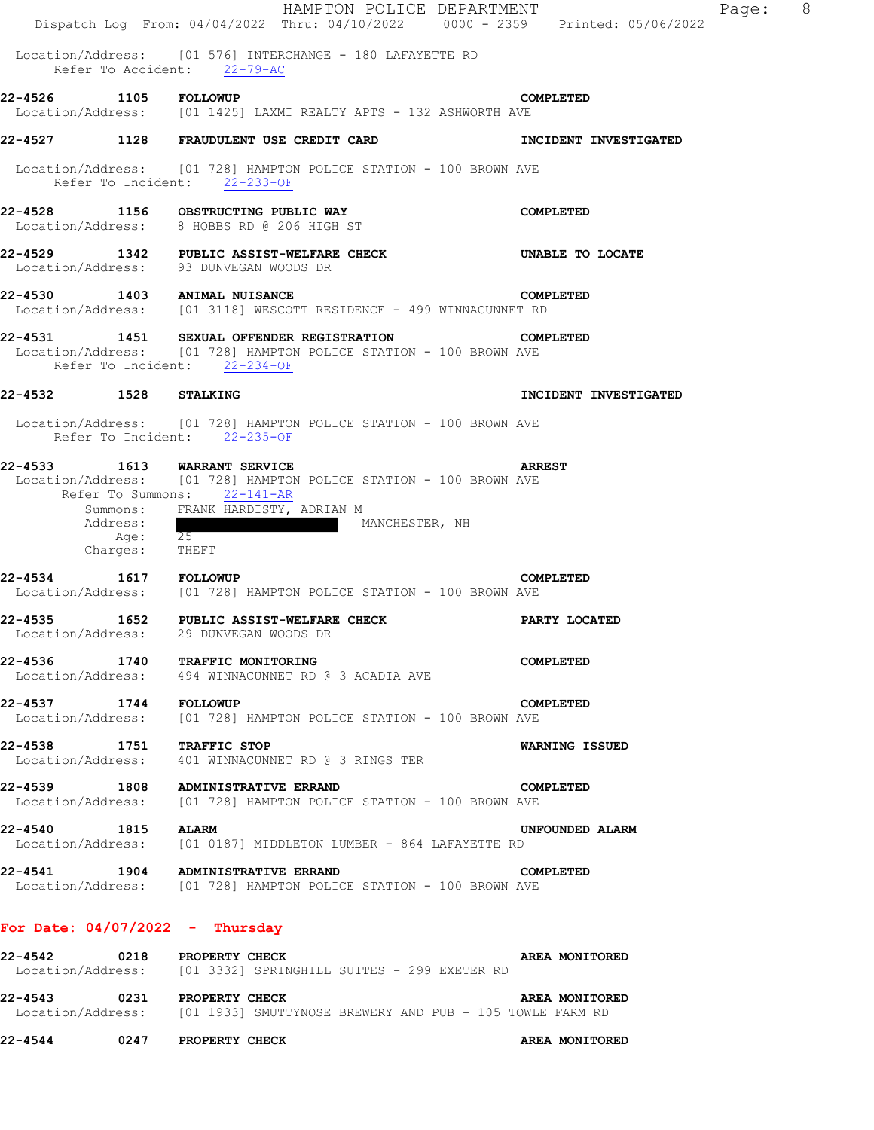|                       |                                                            | HAMPTON POLICE DEPARTMENT<br>Dispatch Log From: 04/04/2022 Thru: 04/10/2022 0000 - 2359 Printed: 05/06/2022                                                                 | $_{\rm 8}$<br>Page:   |
|-----------------------|------------------------------------------------------------|-----------------------------------------------------------------------------------------------------------------------------------------------------------------------------|-----------------------|
|                       |                                                            | Location/Address: [01 576] INTERCHANGE - 180 LAFAYETTE RD<br>Refer To Accident: 22-79-AC                                                                                    |                       |
| 22-4526 1105 FOLLOWUP |                                                            | Location/Address: [01 1425] LAXMI REALTY APTS - 132 ASHWORTH AVE                                                                                                            | COMPLETED             |
|                       |                                                            | 22-4527 1128 FRAUDULENT USE CREDIT CARD                                                                                                                                     | INCIDENT INVESTIGATED |
|                       |                                                            | Location/Address: [01 728] HAMPTON POLICE STATION - 100 BROWN AVE<br>Refer To Incident: 22-233-OF                                                                           |                       |
|                       |                                                            | 22-4528 1156 OBSTRUCTING PUBLIC WAY<br>Location/Address: 8 HOBBS RD @ 206 HIGH ST                                                                                           | COMPLETED             |
| 22-4529               |                                                            | 1342 PUBLIC ASSIST-WELFARE CHECK UNABLE TO LOCATE<br>Location/Address: 93 DUNVEGAN WOODS DR                                                                                 |                       |
|                       |                                                            | 22-4530 1403 ANIMAL NUISANCE<br>Location/Address: [01 3118] WESCOTT RESIDENCE - 499 WINNACUNNET RD                                                                          | COMPLETED             |
| 22-4531               |                                                            | 1451 SEXUAL OFFENDER REGISTRATION<br>Location/Address: [01 728] HAMPTON POLICE STATION - 100 BROWN AVE<br>Refer To Incident: 22-234-OF                                      | COMPLETED             |
| 22-4532 1528 STALKING |                                                            |                                                                                                                                                                             | INCIDENT INVESTIGATED |
|                       |                                                            | Location/Address: [01 728] HAMPTON POLICE STATION - 100 BROWN AVE<br>Refer To Incident: 22-235-OF                                                                           |                       |
|                       | Refer To Summons:<br>Address:<br>Age: 25<br>Charges: THEFT | 22-4533 1613 WARRANT SERVICE<br>Location/Address: [01 728] HAMPTON POLICE STATION - 100 BROWN AVE<br>$22 - 141 - AR$<br>Summons: FRANK HARDISTY, ADRIAN M<br>MANCHESTER, NH | <b>ARREST</b>         |
| 22-4534 1617 FOLLOWUP |                                                            | Location/Address: [01 728] HAMPTON POLICE STATION - 100 BROWN AVE                                                                                                           | COMPLETED             |
|                       |                                                            | 22-4535 1652 PUBLIC ASSIST-WELFARE CHECK<br>Location/Address: 29 DUNVEGAN WOODS DR                                                                                          | PARTY LOCATED         |
|                       |                                                            | 22-4536 1740 TRAFFIC MONITORING<br>Location/Address: 494 WINNACUNNET RD @ 3 ACADIA AVE                                                                                      | COMPLETED             |
| 22-4537 1744 FOLLOWUP |                                                            | Location/Address: [01 728] HAMPTON POLICE STATION - 100 BROWN AVE                                                                                                           | COMPLETED             |
|                       |                                                            | 22-4538 1751 TRAFFIC STOP<br>Location/Address: 401 WINNACUNNET RD @ 3 RINGS TER                                                                                             | WARNING ISSUED        |
|                       |                                                            | 22-4539 1808 ADMINISTRATIVE ERRAND<br>Location/Address: [01 728] HAMPTON POLICE STATION - 100 BROWN AVE                                                                     | COMPLETED             |
| 22-4540 1815 ALARM    |                                                            | Location/Address: [01 0187] MIDDLETON LUMBER - 864 LAFAYETTE RD                                                                                                             | UNFOUNDED ALARM       |
|                       |                                                            | 22-4541 1904 ADMINISTRATIVE ERRAND<br>Location/Address: [01 728] HAMPTON POLICE STATION - 100 BROWN AVE                                                                     | COMPLETED             |
|                       |                                                            | For Date: $04/07/2022 - Thursday$                                                                                                                                           |                       |
|                       |                                                            | 22-4542 0218 PROPERTY CHECK<br>Location/Address: [01 3332] SPRINGHILL SUITES - 299 EXETER RD                                                                                | <b>AREA MONITORED</b> |
|                       |                                                            | 22-4543 0231 PROPERTY CHECK<br>Location/Address: [01 1933] SMUTTYNOSE BREWERY AND PUB - 105 TOWLE FARM RD                                                                   | AREA MONITORED        |
|                       |                                                            | 22-4544 0247 PROPERTY CHECK                                                                                                                                                 | AREA MONITORED        |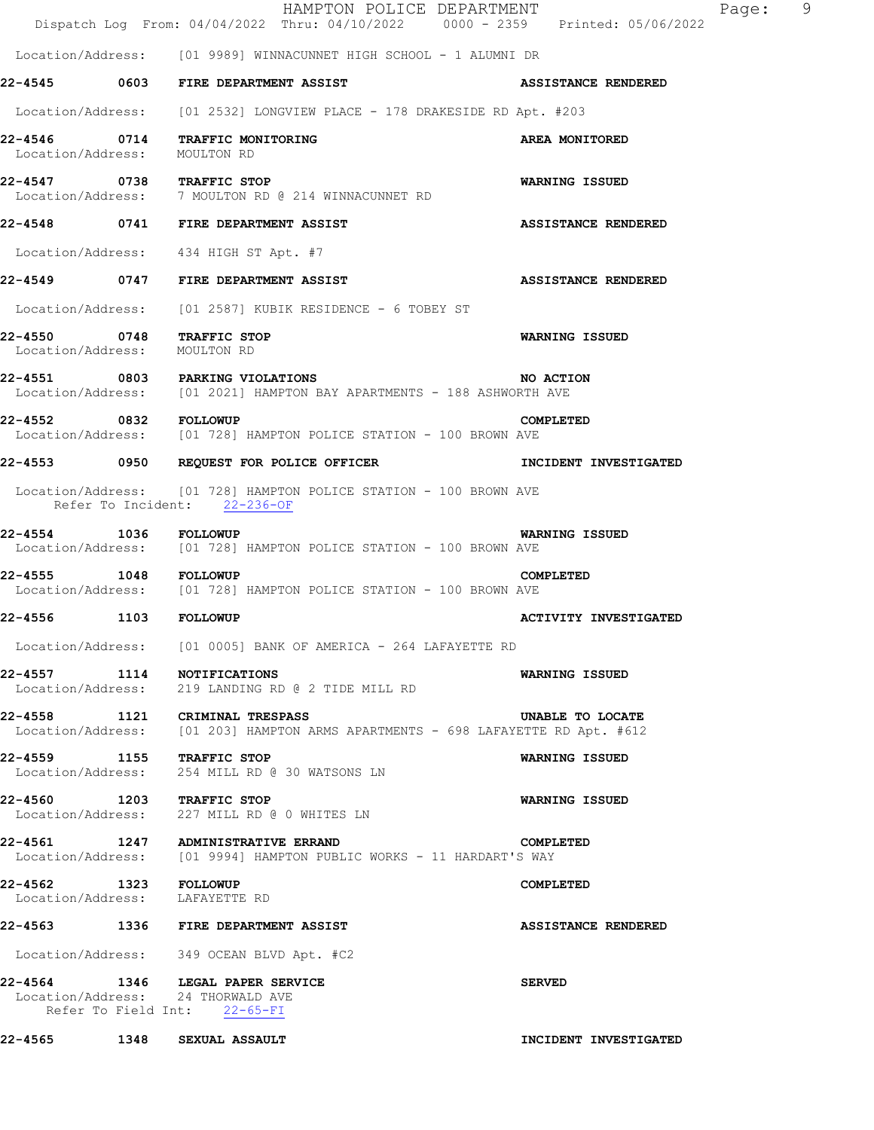| 22-4565 1348 SEXUAL ASSAULT                                                                                             | INCIDENT INVESTIGATED      |
|-------------------------------------------------------------------------------------------------------------------------|----------------------------|
| 22-4564 1346 LEGAL PAPER SERVICE<br>Location/Address: 24 THORWALD AVE<br>Refer To Field Int: 22-65-FI                   | <b>SERVED</b>              |
| Location/Address: 349 OCEAN BLVD Apt. #C2                                                                               |                            |
| 22-4563 1336 FIRE DEPARTMENT ASSIST                                                                                     | ASSISTANCE RENDERED        |
| 22-4562 1323 FOLLOWUP<br>Location/Address: LAFAYETTE RD                                                                 | COMPLETED                  |
| 22-4561 1247 ADMINISTRATIVE ERRAND<br>Location/Address: [01 9994] HAMPTON PUBLIC WORKS - 11 HARDART'S WAY               | COMPLETED                  |
| 22-4560 1203 TRAFFIC STOP<br>Location/Address: 227 MILL RD @ 0 WHITES LN                                                | WARNING ISSUED             |
| 22-4559 1155 TRAFFIC STOP<br>Location/Address: 254 MILL RD @ 30 WATSONS LN                                              | WARNING ISSUED             |
| 22-4558 1121 CRIMINAL TRESPASS<br>Location/Address: [01 203] HAMPTON ARMS APARTMENTS - 698 LAFAYETTE RD Apt. #612       | UNABLE TO LOCATE           |
| 22-4557 1114 NOTIFICATIONS<br>Location/Address: 219 LANDING RD @ 2 TIDE MILL RD                                         | <b>WARNING ISSUED</b>      |
| Location/Address: [01 0005] BANK OF AMERICA - 264 LAFAYETTE RD                                                          |                            |
| 22-4556 1103 FOLLOWUP                                                                                                   | ACTIVITY INVESTIGATED      |
| 22-4555 1048 FOLLOWUP<br>Location/Address: [01 728] HAMPTON POLICE STATION - 100 BROWN AVE                              | COMPLETED                  |
| 22-4554 1036 FOLLOWUP<br>Location/Address: [01 728] HAMPTON POLICE STATION - 100 BROWN AVE                              | <b>WARNING ISSUED</b>      |
| Location/Address: [01 728] HAMPTON POLICE STATION - 100 BROWN AVE<br>Refer To Incident: 22-236-OF                       |                            |
| 22-4553 0950 REQUEST FOR POLICE OFFICER THE TIME INCIDENT INVESTIGATED                                                  |                            |
|                                                                                                                         | COMPLETED                  |
| <b>22-4551 0803 PARKING VIOLATIONS MO ACTI</b><br>Location/Address: [01 2021] HAMPTON BAY APARTMENTS - 188 ASHWORTH AVE | <b>NO ACTION</b>           |
| 22-4550 0748 TRAFFIC STOP<br>Location/Address: MOULTON RD                                                               | WARNING ISSUED             |
| Location/Address: [01 2587] KUBIK RESIDENCE - 6 TOBEY ST                                                                |                            |
| 22-4549 0747 FIRE DEPARTMENT ASSIST                                                                                     | <b>ASSISTANCE RENDERED</b> |
| Location/Address: 434 HIGH ST Apt. #7                                                                                   |                            |
| Location/Address: 7 MOULTON RD @ 214 WINNACUNNET RD<br>22-4548 0741 FIRE DEPARTMENT ASSIST                              | <b>ASSISTANCE RENDERED</b> |
| Location/Address: MOULTON RD<br>22-4547 0738 TRAFFIC STOP                                                               | <b>WARNING ISSUED</b>      |
| 22-4546 0714 TRAFFIC MONITORING                                                                                         | AREA MONITORED             |
| Location/Address: [01 2532] LONGVIEW PLACE - 178 DRAKESIDE RD Apt. #203                                                 |                            |
| Location/Address: [01 9989] WINNACUNNET HIGH SCHOOL - 1 ALUMNI DR<br>22-4545 0603 FIRE DEPARTMENT ASSIST                | <b>ASSISTANCE RENDERED</b> |
| Dispatch Log From: 04/04/2022 Thru: 04/10/2022 0000 - 2359 Printed: 05/06/2022                                          |                            |
| HAMPTON POLICE DEPARTMENT                                                                                               |                            |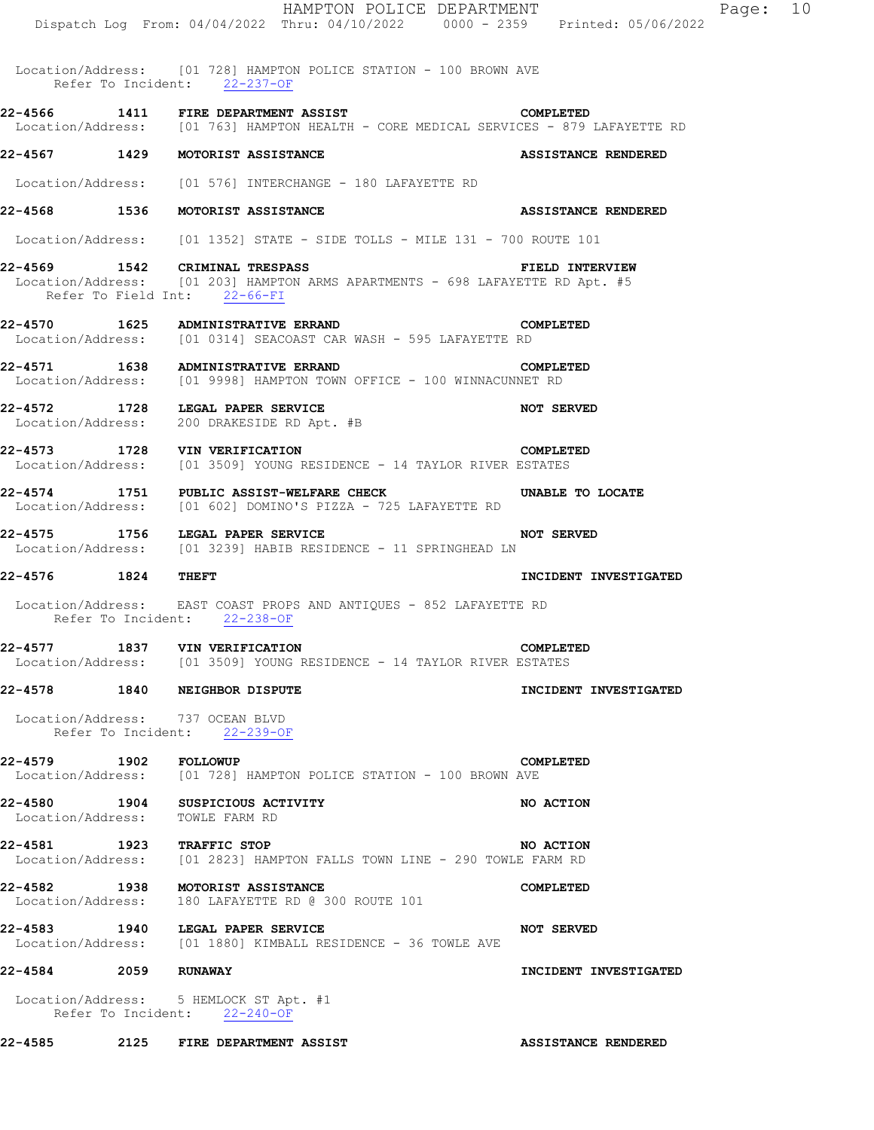|                       | HAMPTON POLICE DEPARTMENT                                                                                                                       |                            |
|-----------------------|-------------------------------------------------------------------------------------------------------------------------------------------------|----------------------------|
|                       | Dispatch Log From: 04/04/2022 Thru: 04/10/2022 0000 - 2359 Printed: 05/06/2022                                                                  |                            |
|                       | Location/Address: [01 728] HAMPTON POLICE STATION - 100 BROWN AVE<br>Refer To Incident: 22-237-OF                                               |                            |
|                       | 22-4566 1411 FIRE DEPARTMENT ASSIST STARFS ONPLETED<br>Location/Address: [01 763] HAMPTON HEALTH - CORE MEDICAL SERVICES - 879 LAFAYETTE RD     |                            |
|                       | 22-4567 1429 MOTORIST ASSISTANCE                                                                                                                | ASSISTANCE RENDERED        |
|                       | Location/Address: [01 576] INTERCHANGE - 180 LAFAYETTE RD                                                                                       |                            |
|                       | 22-4568 1536 MOTORIST ASSISTANCE                                                                                                                | ASSISTANCE RENDERED        |
|                       | Location/Address: [01 1352] STATE - SIDE TOLLS - MILE 131 - 700 ROUTE 101                                                                       |                            |
|                       | 22-4569 1542 CRIMINAL TRESPASS<br>Location/Address: [01 203] HAMPTON ARMS APARTMENTS - 698 LAFAYETTE RD Apt. #5<br>Refer To Field Int: 22-66-FI | <b>FIELD INTERVIEW</b>     |
|                       | 22-4570 1625 ADMINISTRATIVE ERRAND<br><b>COMPLETED</b><br>Location/Address: [01 0314] SEACOAST CAR WASH - 595 LAFAYETTE RD                      |                            |
|                       | 22-4571 1638 ADMINISTRATIVE ERRAND COMPLE<br>Location/Address: [01 9998] HAMPTON TOWN OFFICE - 100 WINNACUNNET RD                               | COMPLETED                  |
|                       | 22-4572 1728 LEGAL PAPER SERVICE<br>Location/Address: 200 DRAKESIDE RD Apt. #B                                                                  |                            |
|                       | 22-4573 1728 VIN VERIFICATION<br>Location/Address: [01 3509] YOUNG RESIDENCE - 14 TAYLOR RIVER ESTATES                                          | COMPLETED                  |
|                       | 22-4574 1751 PUBLIC ASSIST-WELFARE CHECK <b>NABLE TO LOCATE</b><br>Location/Address: [01 602] DOMINO'S PIZZA - 725 LAFAYETTE RD                 |                            |
|                       | NOT SERVED<br>22-4575 1756 LEGAL PAPER SERVICE<br>Location/Address: [01 3239] HABIB RESIDENCE - 11 SPRINGHEAD LN                                |                            |
| 22-4576 1824 THEFT    |                                                                                                                                                 | INCIDENT INVESTIGATED      |
|                       | Location/Address: EAST COAST PROPS AND ANTIQUES - 852 LAFAYETTE RD<br>Refer To Incident: 22-238-OF                                              |                            |
|                       | 22-4577 1837 VIN VERIFICATION COMPLET<br>Location/Address: [01 3509] YOUNG RESIDENCE - 14 TAYLOR RIVER ESTATES                                  | COMPLETED                  |
|                       | 22-4578 1840 NEIGHBOR DISPUTE                                                                                                                   | INCIDENT INVESTIGATED      |
|                       | Location/Address: 737 OCEAN BLVD<br>Refer To Incident: 22-239-OF                                                                                |                            |
| 22-4579 1902 FOLLOWUP | Location/Address: [01 728] HAMPTON POLICE STATION - 100 BROWN AVE                                                                               | COMPLETED                  |
|                       | 22-4580 1904 SUSPICIOUS ACTIVITY<br>Location/Address: TOWLE FARM RD                                                                             | NO ACTION                  |
|                       | <b>22-4581 1923 TRAFFIC STOP CONVERTED STOP NO ACTION</b><br>Location/Address: [01 2823] HAMPTON FALLS TOWN LINE - 290 TOWLE FARM RD            | <b>NO ACTION</b>           |
|                       | 22-4582 1938 MOTORIST ASSISTANCE<br>Location/Address: 180 LAFAYETTE RD @ 300 ROUTE 101                                                          | COMPLETED                  |
|                       | 22-4583 1940 LEGAL PAPER SERVICE<br>Location/Address: [01 1880] KIMBALL RESIDENCE - 36 TOWLE AVE                                                | <b>NOT SERVED</b>          |
| 22-4584 2059 RUNAWAY  |                                                                                                                                                 | INCIDENT INVESTIGATED      |
|                       | Location/Address: 5 HEMLOCK ST Apt. #1<br>Refer To Incident: 22-240-OF                                                                          |                            |
|                       | 22-4585 2125 FIRE DEPARTMENT ASSIST                                                                                                             | <b>ASSISTANCE RENDERED</b> |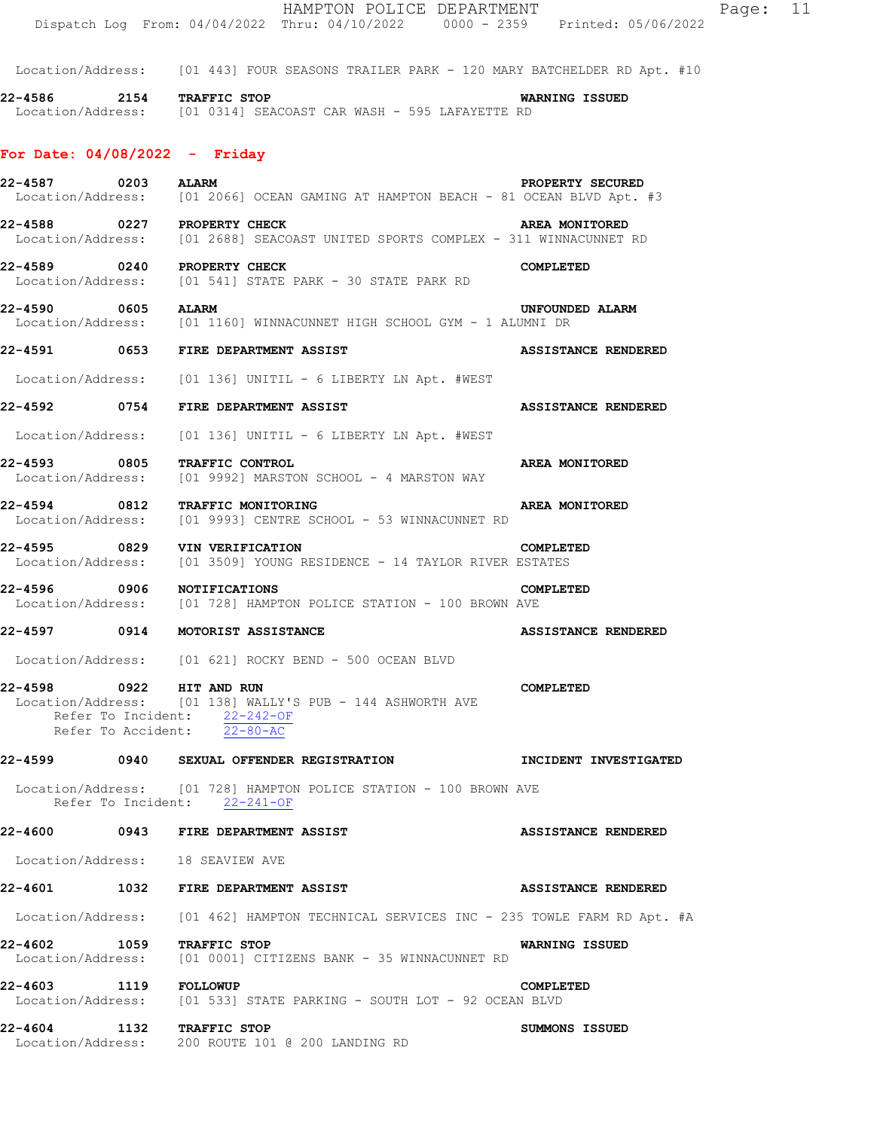|                                  |      | Dispatch Log From: 04/04/2022 Thru: 04/10/2022 0000 - 2359 Printed: 05/06/2022                                        |                            |
|----------------------------------|------|-----------------------------------------------------------------------------------------------------------------------|----------------------------|
|                                  |      | Location/Address: [01 443] FOUR SEASONS TRAILER PARK - 120 MARY BATCHELDER RD Apt. #10                                |                            |
| 22-4586 2154 TRAFFIC STOP        |      | Location/Address: [01 0314] SEACOAST CAR WASH - 595 LAFAYETTE RD                                                      | WARNING ISSUED             |
| For Date: $04/08/2022 -$ Friday  |      |                                                                                                                       |                            |
| 22-4587 0203 ALARM               |      | Location/Address: [01 2066] OCEAN GAMING AT HAMPTON BEACH - 81 OCEAN BLVD Apt. #3                                     | PROPERTY SECURED           |
| 22-4588 0227 PROPERTY CHECK      |      | Location/Address: [01 2688] SEACOAST UNITED SPORTS COMPLEX - 311 WINNACUNNET RD                                       | AREA MONITORED             |
| 22-4589 0240 PROPERTY CHECK      |      | Location/Address: [01 541] STATE PARK - 30 STATE PARK RD                                                              | COMPLETED                  |
| 22-4590 0605 ALARM               |      | Location/Address: [01 1160] WINNACUNNET HIGH SCHOOL GYM - 1 ALUMNI DR                                                 | UNFOUNDED ALARM            |
|                                  |      | 22-4591 0653 FIRE DEPARTMENT ASSIST                                                                                   | <b>ASSISTANCE RENDERED</b> |
|                                  |      | Location/Address: [01 136] UNITIL - 6 LIBERTY LN Apt. #WEST                                                           |                            |
| 22-4592 0754                     |      | FIRE DEPARTMENT ASSIST                                                                                                | <b>ASSISTANCE RENDERED</b> |
|                                  |      | Location/Address: [01 136] UNITIL - 6 LIBERTY LN Apt. #WEST                                                           |                            |
|                                  |      | 22-4593 0805 TRAFFIC CONTROL<br>Location/Address: [01 9992] MARSTON SCHOOL - 4 MARSTON WAY                            | AREA MONITORED             |
|                                  |      | 22-4594 0812 TRAFFIC MONITORING<br>Location/Address: [01 9993] CENTRE SCHOOL - 53 WINNACUNNET RD                      | AREA MONITORED             |
|                                  |      | <b>22-4595 0829 VIN VERIFICATION COMPLET</b><br>Location/Address: [01 3509] YOUNG RESIDENCE - 14 TAYLOR RIVER ESTATES | COMPLETED                  |
| 22-4596                          | 0906 | <b>NOTIFICATIONS</b><br>Location/Address: [01 728] HAMPTON POLICE STATION - 100 BROWN AVE                             | COMPLETED                  |
|                                  |      | 22-4597 0914 MOTORIST ASSISTANCE                                                                                      | <b>ASSISTANCE RENDERED</b> |
|                                  |      | Location/Address: [01 621] ROCKY BEND - 500 OCEAN BLVD                                                                |                            |
| 22-4598 0922 HIT AND RUN         |      | Location/Address: [01 138] WALLY'S PUB - 144 ASHWORTH AVE<br>Refer To Incident: $\frac{22-242-OF}{22-80-AC}$          | COMPLETED                  |
|                                  |      |                                                                                                                       |                            |
|                                  |      | Location/Address: [01 728] HAMPTON POLICE STATION - 100 BROWN AVE<br>Refer To Incident: 22-241-OF                     |                            |
|                                  |      | 22-4600 0943 FIRE DEPARTMENT ASSIST                                                                                   | <b>ASSISTANCE RENDERED</b> |
| Location/Address: 18 SEAVIEW AVE |      |                                                                                                                       |                            |
|                                  |      | 22-4601 1032 FIRE DEPARTMENT ASSIST                                                                                   | <b>ASSISTANCE RENDERED</b> |
|                                  |      | Location/Address: [01 462] HAMPTON TECHNICAL SERVICES INC - 235 TOWLE FARM RD Apt. #A                                 |                            |
| 22-4602 1059                     |      | TRAFFIC STOP<br>Location/Address: [01 0001] CITIZENS BANK - 35 WINNACUNNET RD                                         | <b>WARNING ISSUED</b>      |
| 22-4603 1119 FOLLOWUP            |      | Location/Address: [01 533] STATE PARKING - SOUTH LOT - 92 OCEAN BLVD                                                  | COMPLETED                  |
| 22-4604                          |      | 1132 TRAFFIC STOP<br>Location/Address: 200 ROUTE 101 @ 200 LANDING RD                                                 | SUMMONS ISSUED             |

HAMPTON POLICE DEPARTMENT Page: 11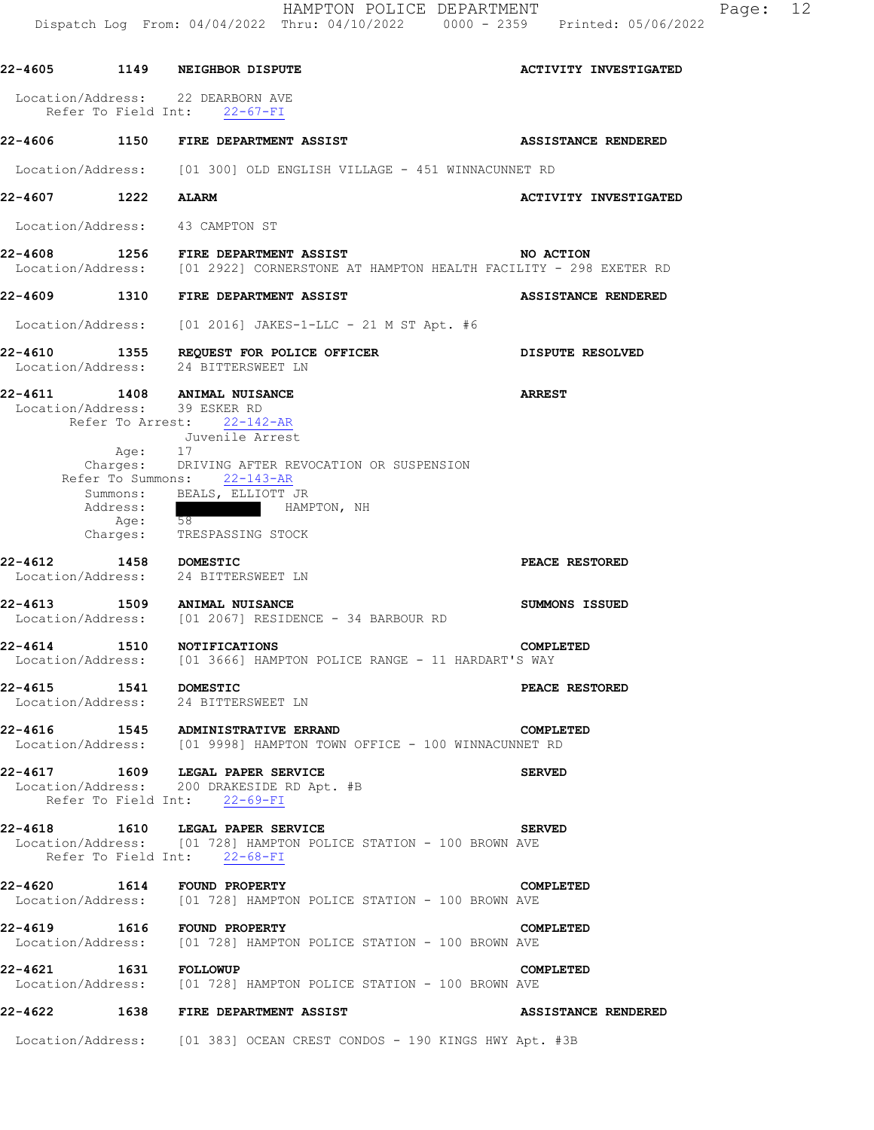|                       |                                         | HAMPTON POLICE DEPARTMENT<br>Dispatch Log From: 04/04/2022 Thru: 04/10/2022 0000 - 2359 Printed: 05/06/2022                                                                                                                                                              | 12<br>Page:                  |
|-----------------------|-----------------------------------------|--------------------------------------------------------------------------------------------------------------------------------------------------------------------------------------------------------------------------------------------------------------------------|------------------------------|
|                       |                                         | 22-4605 1149 NEIGHBOR DISPUTE                                                                                                                                                                                                                                            | <b>ACTIVITY INVESTIGATED</b> |
|                       |                                         | Location/Address: 22 DEARBORN AVE<br>Refer To Field Int: 22-67-FI                                                                                                                                                                                                        |                              |
|                       |                                         | 22-4606 1150 FIRE DEPARTMENT ASSIST                                                                                                                                                                                                                                      | ASSISTANCE RENDERED          |
|                       |                                         | Location/Address: [01 300] OLD ENGLISH VILLAGE - 451 WINNACUNNET RD                                                                                                                                                                                                      |                              |
| 22-4607 1222          |                                         | <b>ALARM</b>                                                                                                                                                                                                                                                             | <b>ACTIVITY INVESTIGATED</b> |
|                       |                                         | Location/Address: 43 CAMPTON ST                                                                                                                                                                                                                                          |                              |
|                       |                                         | 22-4608 1256 FIRE DEPARTMENT ASSIST<br>Location/Address: [01 2922] CORNERSTONE AT HAMPTON HEALTH FACILITY - 298 EXETER RD                                                                                                                                                | NO ACTION                    |
|                       |                                         | 22-4609 1310 FIRE DEPARTMENT ASSIST                                                                                                                                                                                                                                      | ASSISTANCE RENDERED          |
|                       |                                         | Location/Address: [01 2016] JAKES-1-LLC - 21 M ST Apt. #6                                                                                                                                                                                                                |                              |
|                       |                                         | 22-4610 1355 REQUEST FOR POLICE OFFICER<br>Location/Address: 24 BITTERSWEET LN                                                                                                                                                                                           | DISPUTE RESOLVED             |
|                       | Age: 17<br>Address:<br>Age:<br>Charges: | 22-4611 1408 ANIMAL NUISANCE<br>Location/Address: 39 ESKER RD<br>Refer To Arrest: 22-142-AR<br>Juvenile Arrest<br>Charges: DRIVING AFTER REVOCATION OR SUSPENSION<br>Refer To Summons: 22-143-AR<br>Summons: BEALS, ELLIOTT JR<br>HAMPTON, NH<br>58<br>TRESPASSING STOCK | <b>ARREST</b>                |
| 22-4612               |                                         | 1458 DOMESTIC<br>Location/Address: 24 BITTERSWEET LN                                                                                                                                                                                                                     | PEACE RESTORED               |
|                       |                                         | 22-4613 1509 ANIMAL NUISANCE<br>Location/Address: [01 2067] RESIDENCE - 34 BARBOUR RD                                                                                                                                                                                    | SUMMONS ISSUED               |
|                       |                                         | 22-4614 1510 NOTIFICATIONS<br>Location/Address: [01 3666] HAMPTON POLICE RANGE - 11 HARDART'S WAY                                                                                                                                                                        | COMPLETED                    |
| 22-4615 1541 DOMESTIC |                                         | Location/Address: 24 BITTERSWEET LN                                                                                                                                                                                                                                      | PEACE RESTORED               |
|                       |                                         | 22-4616 1545 ADMINISTRATIVE ERRAND<br>Location/Address: [01 9998] HAMPTON TOWN OFFICE - 100 WINNACUNNET RD                                                                                                                                                               | COMPLETED                    |
|                       |                                         | 22-4617 1609 LEGAL PAPER SERVICE<br>Location/Address: 200 DRAKESIDE RD Apt. #B<br>Refer To Field Int: 22-69-FI                                                                                                                                                           | <b>SERVED</b>                |
|                       |                                         | 22-4618 1610 LEGAL PAPER SERVICE<br>Location/Address: [01 728] HAMPTON POLICE STATION - 100 BROWN AVE<br>Refer To Field Int: 22-68-FI                                                                                                                                    | <b>SERVED</b>                |
|                       |                                         | 22-4620 1614 FOUND PROPERTY<br>Location/Address: [01 728] HAMPTON POLICE STATION - 100 BROWN AVE                                                                                                                                                                         | COMPLETED                    |
|                       |                                         | 22-4619 1616 FOUND PROPERTY<br>Location/Address: [01 728] HAMPTON POLICE STATION - 100 BROWN AVE                                                                                                                                                                         | COMPLETED                    |
| 22-4621 1631 FOLLOWUP |                                         | Location/Address: [01 728] HAMPTON POLICE STATION - 100 BROWN AVE                                                                                                                                                                                                        | COMPLETED                    |
|                       |                                         | 22-4622 1638 FIRE DEPARTMENT ASSIST                                                                                                                                                                                                                                      | <b>ASSISTANCE RENDERED</b>   |
|                       |                                         | Location/Address: [01 383] OCEAN CREST CONDOS - 190 KINGS HWY Apt. #3B                                                                                                                                                                                                   |                              |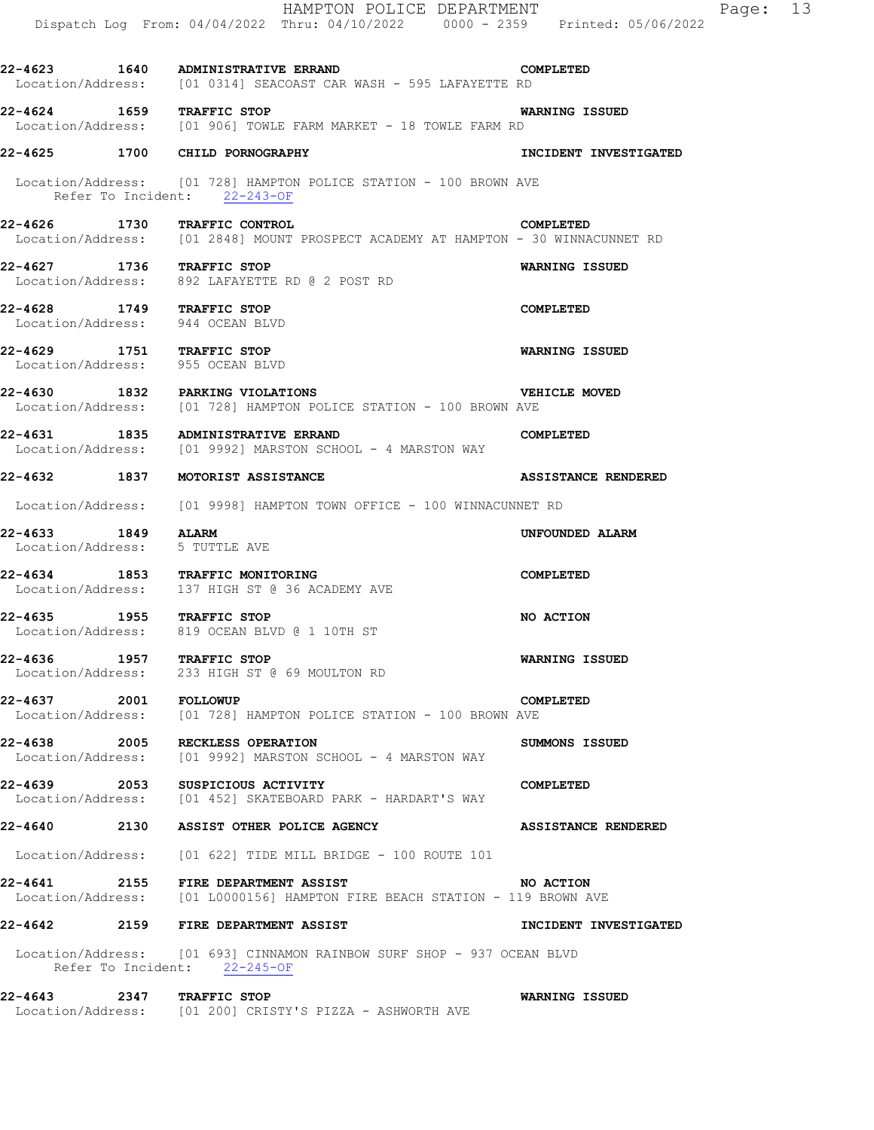|                       | HAMPTON POLICE DEPARTMENT<br>Dispatch Log From: 04/04/2022 Thru: 04/10/2022 0000 - 2359 Printed: 05/06/2022                           | Page: 13                   |
|-----------------------|---------------------------------------------------------------------------------------------------------------------------------------|----------------------------|
|                       | 22-4623 1640 ADMINISTRATIVE ERRAND CO<br>Location/Address: [01 0314] SEACOAST CAR WASH - 595 LAFAYETTE RD<br><b>COMPLETED</b>         |                            |
|                       | 22-4624 1659 TRAFFIC STOP<br>Location/Address: [01 906] TOWLE FARM MARKET - 18 TOWLE FARM RD                                          | <b>WARNING ISSUED</b>      |
|                       | 22-4625 1700 CHILD PORNOGRAPHY                                                                                                        | INCIDENT INVESTIGATED      |
|                       | Location/Address: [01 728] HAMPTON POLICE STATION - 100 BROWN AVE<br>Refer To Incident: 22-243-OF                                     |                            |
|                       | 22-4626 1730 TRAFFIC CONTROL CORPLETED COMPLETED<br>Location/Address: [01 2848] MOUNT PROSPECT ACADEMY AT HAMPTON - 30 WINNACUNNET RD |                            |
|                       | 22-4627 1736 TRAFFIC STOP<br>Location/Address: 892 LAFAYETTE RD @ 2 POST RD                                                           | WARNING ISSUED             |
|                       | 22-4628 1749 TRAFFIC STOP<br>Location/Address: 944 OCEAN BLVD                                                                         | <b>COMPLETED</b>           |
|                       | 22-4629 1751 TRAFFIC STOP<br>Location/Address: 955 OCEAN BLVD                                                                         | WARNING ISSUED             |
|                       | 22-4630 1832 PARKING VIOLATIONS<br>Location/Address: [01 728] HAMPTON POLICE STATION - 100 BROWN AVE                                  | <b>VEHICLE MOVED</b>       |
|                       | <b>COMPLETED</b><br>22-4631 1835 ADMINISTRATIVE ERRAND<br>Location/Address: [01 9992] MARSTON SCHOOL - 4 MARSTON WAY                  |                            |
|                       | 22-4632 1837 MOTORIST ASSISTANCE                                                                                                      | <b>ASSISTANCE RENDERED</b> |
|                       | Location/Address: [01 9998] HAMPTON TOWN OFFICE - 100 WINNACUNNET RD                                                                  |                            |
| 22-4633 1849 ALARM    | Location/Address: 5 TUTTLE AVE                                                                                                        | UNFOUNDED ALARM            |
|                       | 22-4634 1853 TRAFFIC MONITORING<br>Location/Address: 137 HIGH ST @ 36 ACADEMY AVE                                                     | COMPLETED                  |
|                       | 22-4635 1955 TRAFFIC STOP<br>Location/Address: 819 OCEAN BLVD @ 1 10TH ST                                                             | NO ACTION                  |
|                       | 22-4636 1957 TRAFFIC STOP<br>Location/Address: 233 HIGH ST @ 69 MOULTON RD                                                            | WARNING ISSUED             |
| 22-4637 2001 FOLLOWUP | Location/Address: [01 728] HAMPTON POLICE STATION - 100 BROWN AVE                                                                     | <b>COMPLETED</b>           |
|                       | 22-4638 2005 RECKLESS OPERATION<br>Location/Address: [01 9992] MARSTON SCHOOL - 4 MARSTON WAY                                         | SUMMONS ISSUED             |
|                       | 22-4639 2053 SUSPICIOUS ACTIVITY<br>Location/Address: [01 452] SKATEBOARD PARK - HARDART'S WAY                                        | COMPLETED                  |
|                       | 22-4640 2130 ASSIST OTHER POLICE AGENCY                                                                                               | <b>ASSISTANCE RENDERED</b> |
|                       | Location/Address: [01 622] TIDE MILL BRIDGE - 100 ROUTE 101                                                                           |                            |
|                       | 22-4641 2155 FIRE DEPARTMENT ASSIST NO ACTION<br>  Location/Address: [01 L0000156] HAMPTON FIRE BEACH STATION - 119 BROWN AVE         |                            |
|                       | 22-4642 2159 FIRE DEPARTMENT ASSIST                                                                                                   | INCIDENT INVESTIGATED      |
|                       | Location/Address: [01 693] CINNAMON RAINBOW SURF SHOP - 937 OCEAN BLVD<br>Refer To Incident: 22-245-OF                                |                            |
|                       | 22-4643 2347 TRAFFIC STOP<br>Location/Address: [01 200] CRISTY'S PIZZA - ASHWORTH AVE                                                 | WARNING ISSUED             |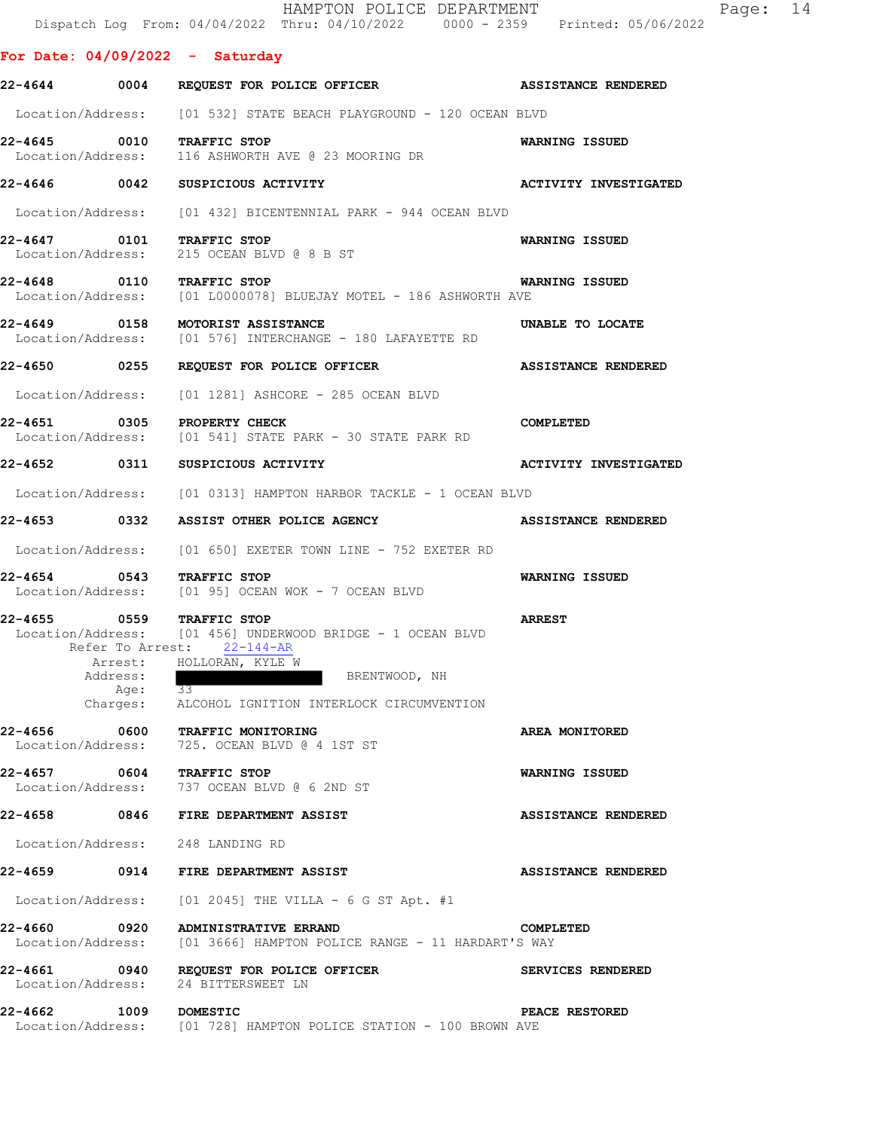|                                   |         | HAMPTON POLICE DEPARTMENT<br>Dispatch Log From: 04/04/2022 Thru: 04/10/2022 0000 - 2359 Printed: 05/06/2022 | Page: 14                     |
|-----------------------------------|---------|-------------------------------------------------------------------------------------------------------------|------------------------------|
| For Date: $04/09/2022 -$ Saturday |         |                                                                                                             |                              |
|                                   |         | 22-4644 0004 REQUEST FOR POLICE OFFICER ASSISTANCE RENDERED                                                 |                              |
|                                   |         | Location/Address: [01 532] STATE BEACH PLAYGROUND - 120 OCEAN BLVD                                          |                              |
| 22-4645 0010 TRAFFIC STOP         |         | Location/Address: 116 ASHWORTH AVE @ 23 MOORING DR                                                          | WARNING ISSUED               |
|                                   |         | 22-4646 0042 SUSPICIOUS ACTIVITY                                                                            | <b>ACTIVITY INVESTIGATED</b> |
|                                   |         | Location/Address: [01 432] BICENTENNIAL PARK - 944 OCEAN BLVD                                               |                              |
| 22-4647 0101 TRAFFIC STOP         |         | Location/Address: 215 OCEAN BLVD @ 8 B ST                                                                   | WARNING ISSUED               |
| 22-4648 0110 TRAFFIC STOP         |         | Location/Address: [01 L0000078] BLUEJAY MOTEL - 186 ASHWORTH AVE                                            | <b>WARNING ISSUED</b>        |
|                                   |         | 22-4649 0158 MOTORIST ASSISTANCE<br>Location/Address: [01 576] INTERCHANGE - 180 LAFAYETTE RD               | UNABLE TO LOCATE             |
|                                   |         | 22-4650 0255 REQUEST FOR POLICE OFFICER THE ASSISTANCE RENDERED                                             |                              |
|                                   |         | Location/Address: [01 1281] ASHCORE - 285 OCEAN BLVD                                                        |                              |
| 22-4651 0305 PROPERTY CHECK       |         | Location/Address: [01 541] STATE PARK - 30 STATE PARK RD                                                    | COMPLETED                    |
|                                   |         | 22-4652 0311 SUSPICIOUS ACTIVITY                                                                            | <b>ACTIVITY INVESTIGATED</b> |
|                                   |         | Location/Address: [01 0313] HAMPTON HARBOR TACKLE - 1 OCEAN BLVD                                            |                              |
|                                   |         | 22-4653 0332 ASSIST OTHER POLICE AGENCY                                                                     | <b>ASSISTANCE RENDERED</b>   |
|                                   |         | Location/Address: [01 650] EXETER TOWN LINE - 752 EXETER RD                                                 |                              |
| 22-4654 0543 TRAFFIC STOP         |         | Location/Address: [01 95] OCEAN WOK - 7 OCEAN BLVD                                                          | WARNING ISSUED               |
| 22-4655 0559 TRAFFIC STOP         |         | Location/Address: [01 456] UNDERWOOD BRIDGE - 1 OCEAN BLVD<br>Refer To Arrest: 22-144-AR                    | <b>ARREST</b>                |
| Address:                          | Age: 33 | Arrest: HOLLORAN, KYLE W<br>BRENTWOOD, NH                                                                   |                              |
|                                   |         | Charges: ALCOHOL IGNITION INTERLOCK CIRCUMVENTION                                                           |                              |
|                                   |         | 22-4656 0600 TRAFFIC MONITORING<br>Location/Address: 725. OCEAN BLVD @ 4 1ST ST                             | AREA MONITORED               |
| 22-4657 0604 TRAFFIC STOP         |         | Location/Address: 737 OCEAN BLVD @ 6 2ND ST                                                                 | WARNING ISSUED               |
|                                   |         | 22-4658  0846 FIRE DEPARTMENT ASSIST                                                                        | <b>ASSISTANCE RENDERED</b>   |
| Location/Address: 248 LANDING RD  |         |                                                                                                             |                              |
|                                   |         |                                                                                                             | <b>ASSISTANCE RENDERED</b>   |
|                                   |         | Location/Address: $[01 2045]$ THE VILLA - 6 G ST Apt. #1                                                    |                              |
| 22-4660 0920                      |         | <b>ADMINISTRATIVE ERRAND</b><br>Location/Address: [01 3666] HAMPTON POLICE RANGE - 11 HARDART'S WAY         | COMPLETED                    |
| Location/Address:                 |         | 22-4661 0940 REQUEST FOR POLICE OFFICER SERVICES RENDERED<br>24 BITTERSWEET LN                              |                              |
| 1009 DOMESTIC<br>22-4662          |         | Location/Address: [01 728] HAMPTON POLICE STATION - 100 BROWN AVE                                           | PEACE RESTORED               |
|                                   |         |                                                                                                             |                              |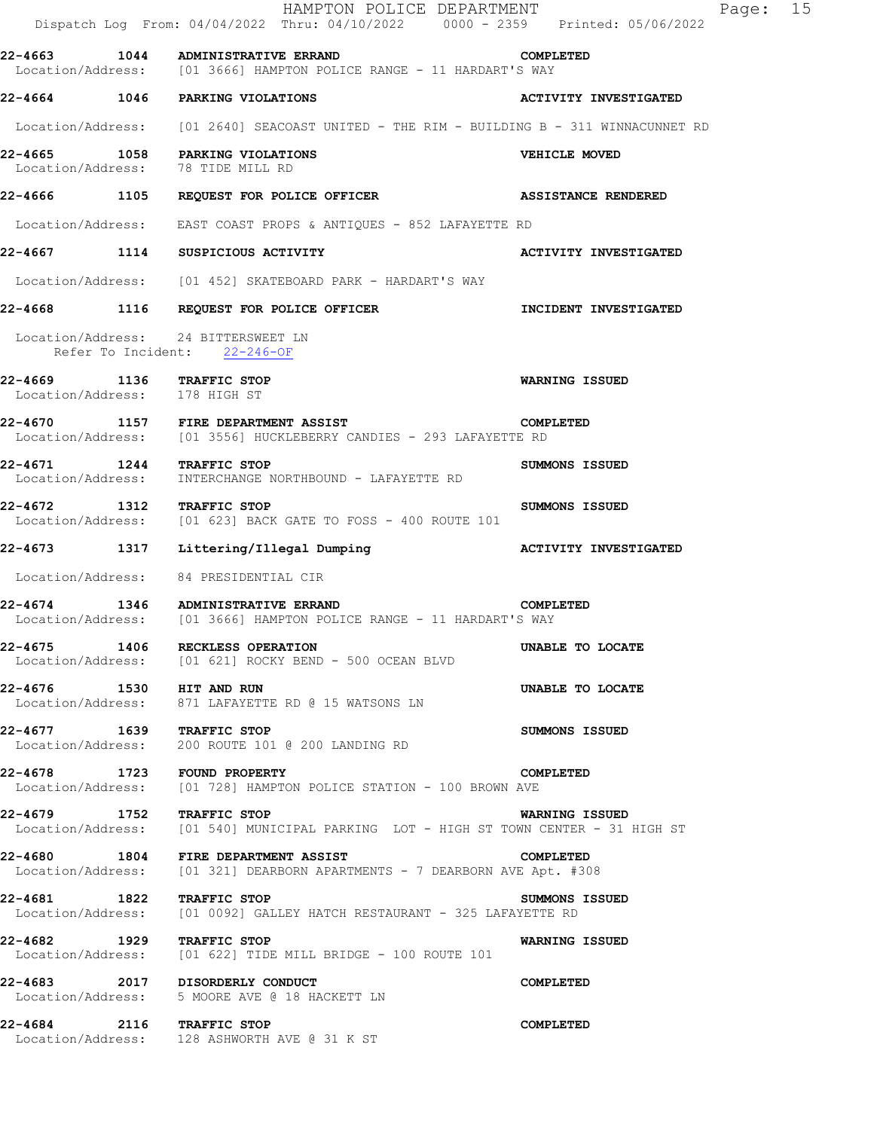|                                                            | HAMPTON POLICE DEPARTMENT<br>Dispatch Log From: 04/04/2022 Thru: 04/10/2022 0000 - 2359 Printed: 05/06/2022                     | Page: 15                     |
|------------------------------------------------------------|---------------------------------------------------------------------------------------------------------------------------------|------------------------------|
|                                                            | 22-4663 1044 ADMINISTRATIVE ERRAND 22-4663 COMPLETED<br>Location/Address: [01 3666] HAMPTON POLICE RANGE - 11 HARDART'S WAY     |                              |
|                                                            | 22-4664 1046 PARKING VIOLATIONS                                                                                                 | <b>ACTIVITY INVESTIGATED</b> |
|                                                            | Location/Address: [01 2640] SEACOAST UNITED - THE RIM - BUILDING B - 311 WINNACUNNET RD                                         |                              |
|                                                            | 22-4665 1058 PARKING VIOLATIONS<br>Location/Address: 78 TIDE MILL RD                                                            | VEHICLE MOVED                |
|                                                            | 22-4666 1105 REQUEST FOR POLICE OFFICER THE ASSISTANCE RENDERED                                                                 |                              |
|                                                            | Location/Address: EAST COAST PROPS & ANTIQUES - 852 LAFAYETTE RD                                                                |                              |
|                                                            | 22-4667 1114 SUSPICIOUS ACTIVITY                                                                                                | <b>ACTIVITY INVESTIGATED</b> |
|                                                            | Location/Address: [01 452] SKATEBOARD PARK - HARDART'S WAY                                                                      |                              |
|                                                            | 22-4668 1116 REQUEST FOR POLICE OFFICER THE INCIDENT INVESTIGATED                                                               |                              |
|                                                            | Location/Address: 24 BITTERSWEET LN<br>Refer To Incident: 22-246-OF                                                             |                              |
| 22-4669 1136 TRAFFIC STOP<br>Location/Address: 178 HIGH ST |                                                                                                                                 | WARNING ISSUED               |
|                                                            | 22-4670 1157 FIRE DEPARTMENT ASSIST COMP<br>Location/Address: [01 3556] HUCKLEBERRY CANDIES - 293 LAFAYETTE RD                  | COMPLETED                    |
|                                                            | 22-4671 1244 TRAFFIC STOP<br>Location/Address: INTERCHANGE NORTHBOUND - LAFAYETTE RD                                            | SUMMONS ISSUED               |
| 22-4672 1312 TRAFFIC STOP                                  | Location/Address: [01 623] BACK GATE TO FOSS - 400 ROUTE 101                                                                    | SUMMONS ISSUED               |
|                                                            | 22-4673                1317      Littering/Illegal Dumping                                 ACTIVITY INVESTIGATED                |                              |
|                                                            | Location/Address: 84 PRESIDENTIAL CIR                                                                                           |                              |
|                                                            | <b>COMPLETED</b><br>22-4674 1346 ADMINISTRATIVE ERRAND<br>Location/Address: [01 3666] HAMPTON POLICE RANGE - 11 HARDART'S WAY   |                              |
|                                                            | 22-4675 1406 RECKLESS OPERATION<br>Location/Address: [01 621] ROCKY BEND - 500 OCEAN BLVD                                       | UNABLE TO LOCATE             |
| 22-4676 1530 HIT AND RUN                                   | Location/Address: 871 LAFAYETTE RD @ 15 WATSONS LN                                                                              | UNABLE TO LOCATE             |
| 22-4677 1639 TRAFFIC STOP                                  | Location/Address: 200 ROUTE 101 @ 200 LANDING RD                                                                                | SUMMONS ISSUED               |
|                                                            | 22-4678 1723 FOUND PROPERTY<br>Location/Address: [01 728] HAMPTON POLICE STATION - 100 BROWN AVE                                | COMPLETED                    |
|                                                            | 22-4679 1752 TRAFFIC STOP NARNING ISSUED<br>Location/Address: [01 540] MUNICIPAL PARKING LOT - HIGH ST TOWN CENTER - 31 HIGH ST |                              |
|                                                            | 22-4680 1804 FIRE DEPARTMENT ASSIST<br>Location/Address: [01 321] DEARBORN APARTMENTS - 7 DEARBORN AVE Apt. #308                | COMPLETED                    |
|                                                            | 22-4681 1822 TRAFFIC STOP<br>Location/Address: [01 0092] GALLEY HATCH RESTAURANT - 325 LAFAYETTE RD                             | SUMMONS ISSUED               |
| 22-4682 1929 TRAFFIC STOP                                  | Location/Address: [01 622] TIDE MILL BRIDGE - 100 ROUTE 101                                                                     | WARNING ISSUED               |
|                                                            | 22-4683 2017 DISORDERLY CONDUCT<br>Location/Address: 5 MOORE AVE @ 18 HACKETT LN                                                | COMPLETED                    |
| 22-4684 2116 TRAFFIC STOP                                  | Location/Address: 128 ASHWORTH AVE @ 31 K ST                                                                                    | COMPLETED                    |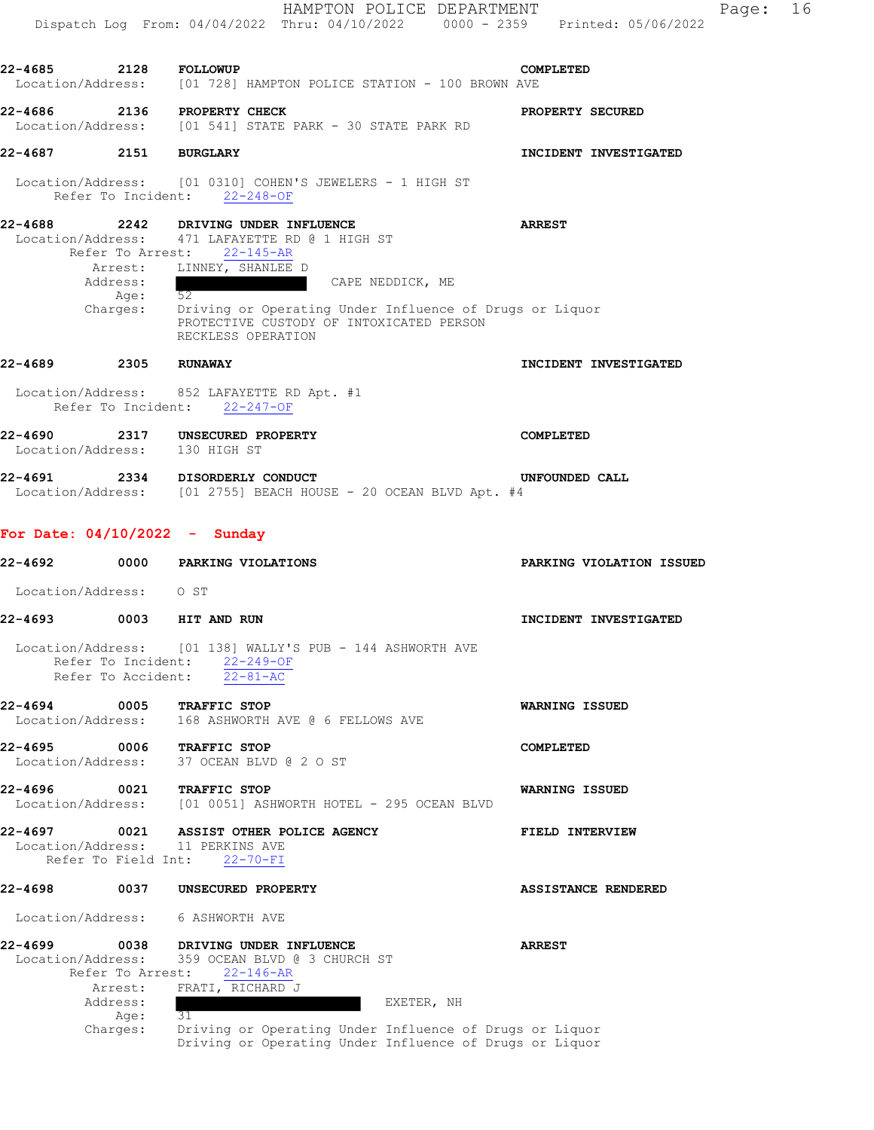|                              |                                          | HAMPTON POLICE DEPARTMENT<br>Dispatch Log From: 04/04/2022 Thru: 04/10/2022 0000 - 2359 Printed: 05/06/2022                                                                                                                       | Page:                    | 16 |
|------------------------------|------------------------------------------|-----------------------------------------------------------------------------------------------------------------------------------------------------------------------------------------------------------------------------------|--------------------------|----|
| 22-4685 2128 FOLLOWUP        |                                          |                                                                                                                                                                                                                                   | COMPLETED                |    |
|                              |                                          | Location/Address: [01 728] HAMPTON POLICE STATION - 100 BROWN AVE                                                                                                                                                                 |                          |    |
|                              |                                          | 22-4686 2136 PROPERTY CHECK<br>Location/Address: [01 541] STATE PARK - 30 STATE PARK RD                                                                                                                                           | PROPERTY SECURED         |    |
| 22-4687 2151 BURGLARY        |                                          |                                                                                                                                                                                                                                   | INCIDENT INVESTIGATED    |    |
|                              |                                          | Location/Address: [01 0310] COHEN'S JEWELERS - 1 HIGH ST<br>Refer To Incident: 22-248-OF                                                                                                                                          |                          |    |
| 22-4688                      | Address:<br>Age: 52                      | 2242 DRIVING UNDER INFLUENCE<br>Location/Address: 471 LAFAYETTE RD @ 1 HIGH ST<br>Refer To Arrest: 22-145-AR<br>Arrest: LINNEY, SHANLEE D<br>CAPE NEDDICK, ME<br>Charges: Driving or Operating Under Influence of Drugs or Liquor | <b>ARREST</b>            |    |
|                              |                                          | PROTECTIVE CUSTODY OF INTOXICATED PERSON<br>RECKLESS OPERATION                                                                                                                                                                    |                          |    |
| 22-4689 2305 RUNAWAY         |                                          |                                                                                                                                                                                                                                   | INCIDENT INVESTIGATED    |    |
|                              |                                          | Location/Address: 852 LAFAYETTE RD Apt. #1<br>Refer To Incident: 22-247-OF                                                                                                                                                        |                          |    |
|                              |                                          | 22-4690 2317 UNSECURED PROPERTY<br>Location/Address: 130 HIGH ST                                                                                                                                                                  | COMPLETED                |    |
|                              |                                          | 22-4691 2334 DISORDERLY CONDUCT<br>Location/Address: [01 2755] BEACH HOUSE - 20 OCEAN BLVD Apt. #4                                                                                                                                | UNFOUNDED CALL           |    |
|                              |                                          | For Date: $04/10/2022 -$ Sunday                                                                                                                                                                                                   |                          |    |
| 22-4692                      |                                          | 0000 PARKING VIOLATIONS                                                                                                                                                                                                           | PARKING VIOLATION ISSUED |    |
| Location/Address: 0 ST       |                                          |                                                                                                                                                                                                                                   |                          |    |
| 22-4693                      |                                          | 0003 HIT AND RUN                                                                                                                                                                                                                  | INCIDENT INVESTIGATED    |    |
|                              | Refer To Incident:<br>Refer To Accident: | Location/Address: [01 138] WALLY'S PUB - 144 ASHWORTH AVE<br>$22 - 249 - OF$<br>$22 - 81 - AC$                                                                                                                                    |                          |    |
| 22-4694<br>Location/Address: | 0005                                     | <b>TRAFFIC STOP</b><br>168 ASHWORTH AVE @ 6 FELLOWS AVE                                                                                                                                                                           | <b>WARNING ISSUED</b>    |    |
| 22-4695<br>Location/Address: | 0006                                     | <b>TRAFFIC STOP</b><br>37 OCEAN BLVD @ 2 O ST                                                                                                                                                                                     | COMPLETED                |    |
| 22-4696                      | 0021                                     | TRAFFIC STOP<br>Location/Address: [01 0051] ASHWORTH HOTEL - 295 OCEAN BLVD                                                                                                                                                       | WARNING ISSUED           |    |
| 22-4697<br>Location/Address: | Refer To Field Int:                      | 0021 ASSIST OTHER POLICE AGENCY<br>11 PERKINS AVE<br>$22 - 70 - FI$                                                                                                                                                               | FIELD INTERVIEW          |    |
| 22-4698                      |                                          | 0037 UNSECURED PROPERTY                                                                                                                                                                                                           | ASSISTANCE RENDERED      |    |
| Location/Address:            |                                          | 6 ASHWORTH AVE                                                                                                                                                                                                                    |                          |    |
| 22-4699<br>Location/Address: | 0038                                     | DRIVING UNDER INFLUENCE<br>359 OCEAN BLVD @ 3 CHURCH ST<br>Refer To Arrest: 22-146-AR                                                                                                                                             | <b>ARREST</b>            |    |
|                              | Arrest:<br>Address:                      | FRATI, RICHARD J<br>EXETER, NH                                                                                                                                                                                                    |                          |    |
|                              | Age:<br>Charges:                         | 31<br>Driving or Operating Under Influence of Drugs or Liquor<br>Driving or Operating Under Influence of Drugs or Liquor                                                                                                          |                          |    |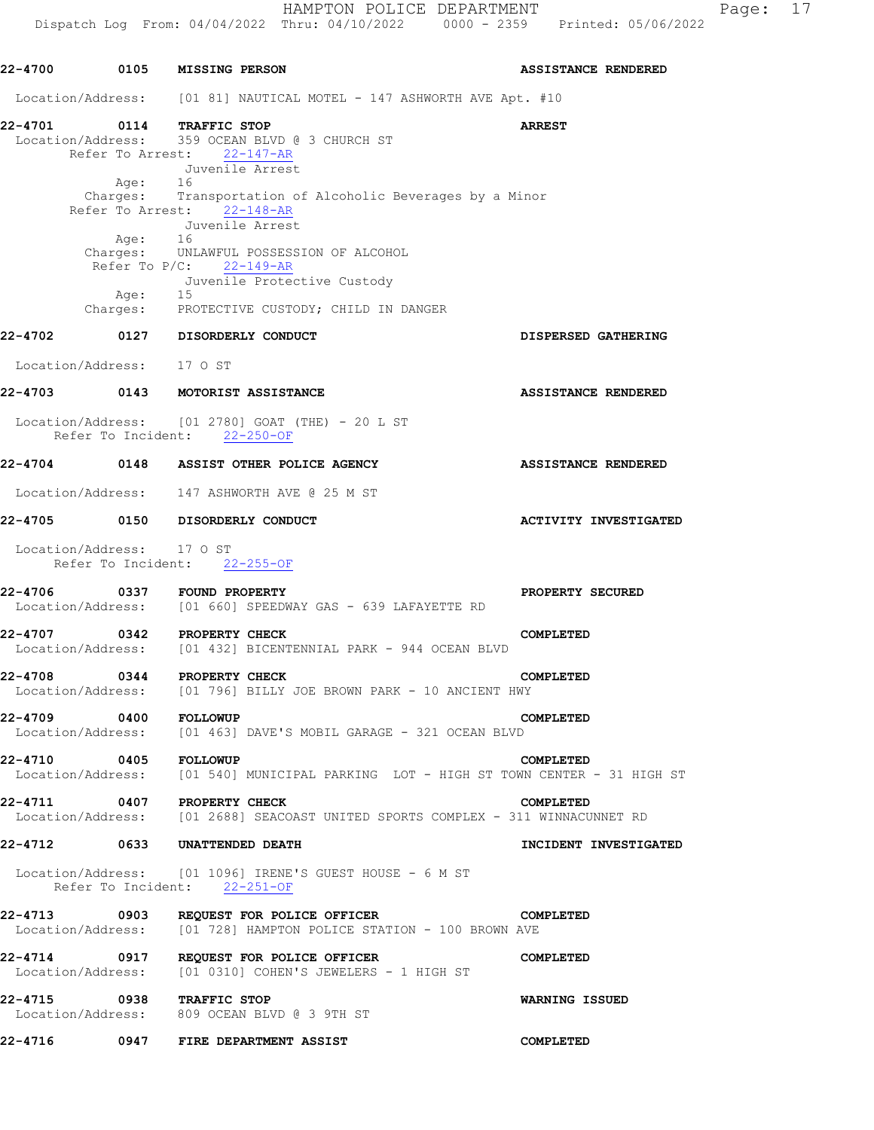| 22-4700               |                           | 0105 MISSING PERSON                                                                                                                                                                                      | <b>ASSISTANCE RENDERED</b>   |
|-----------------------|---------------------------|----------------------------------------------------------------------------------------------------------------------------------------------------------------------------------------------------------|------------------------------|
|                       |                           | Location/Address: [01 81] NAUTICAL MOTEL - 147 ASHWORTH AVE Apt. #10                                                                                                                                     |                              |
| 22-4701               | Age: 16                   | 2-4701 0114 TRAFFIC STOP<br>Location/Address: 359 OCEAN BLVD @ 3 CHURCH ST<br>Refer To Arrest: 22-147-AR<br>Juvenile Arrest<br>Charges: Transportation of Alcoholic Beverages by a Minor                 | <b>ARREST</b>                |
|                       | Age: 16<br>Age:           | Refer To Arrest: 22-148-AR<br>Juvenile Arrest<br>Charges: UNLAWFUL POSSESSION OF ALCOHOL<br>Refer To P/C: 22-149-AR<br>Juvenile Protective Custody<br>15<br>Charges: PROTECTIVE CUSTODY; CHILD IN DANGER |                              |
|                       |                           | 22-4702 0127 DISORDERLY CONDUCT                                                                                                                                                                          | DISPERSED GATHERING          |
|                       | Location/Address: 17 0 ST |                                                                                                                                                                                                          |                              |
|                       |                           | 22-4703 0143 MOTORIST ASSISTANCE                                                                                                                                                                         | <b>ASSISTANCE RENDERED</b>   |
|                       |                           | Location/Address: [01 2780] GOAT (THE) - 20 L ST<br>Refer To Incident: 22-250-OF                                                                                                                         |                              |
|                       |                           | 22-4704 0148 ASSIST OTHER POLICE AGENCY                                                                                                                                                                  | ASSISTANCE RENDERED          |
|                       |                           | Location/Address: 147 ASHWORTH AVE @ 25 M ST                                                                                                                                                             |                              |
|                       |                           | 22-4705 0150 DISORDERLY CONDUCT                                                                                                                                                                          | <b>ACTIVITY INVESTIGATED</b> |
|                       | Location/Address: 17 0 ST | Refer To Incident: 22-255-OF                                                                                                                                                                             |                              |
|                       |                           | 22-4706 0337 FOUND PROPERTY<br>Location/Address: [01 660] SPEEDWAY GAS - 639 LAFAYETTE RD                                                                                                                | PROPERTY SECURED             |
| 22-4707               |                           | 0342 PROPERTY CHECK<br>Location/Address: [01 432] BICENTENNIAL PARK - 944 OCEAN BLVD                                                                                                                     | <b>COMPLETED</b>             |
|                       |                           | 22-4708 0344 PROPERTY CHECK CONNER PROPERTY CHECK CONNERT PROPERTY CHECK CONNERT PROPERTY CHECK                                                                                                          | COMPLETED                    |
| 22-4709 0400 FOLLOWUP |                           | Location/Address: [01 463] DAVE'S MOBIL GARAGE - 321 OCEAN BLVD                                                                                                                                          | COMPLETED                    |
|                       |                           | 22-4710 0405 FOLLOWUP COMPLETED<br>Location/Address: [01 540] MUNICIPAL PARKING LOT - HIGH ST TOWN CENTER - 31 HIGH ST                                                                                   |                              |
|                       |                           | 22-4711 0407 PROPERTY CHECK COMPLEX - 311 WINNACUNNET RD<br>Location/Address: [01 2688] SEACOAST UNITED SPORTS COMPLEX - 311 WINNACUNNET RD                                                              |                              |
|                       |                           | 22-4712 0633 UNATTENDED DEATH                                                                                                                                                                            | INCIDENT INVESTIGATED        |
|                       |                           | Location/Address: [01 1096] IRENE'S GUEST HOUSE - 6 M ST<br>Refer To Incident: 22-251-OF                                                                                                                 |                              |
|                       |                           | 22-4713 0903 REQUEST FOR POLICE OFFICER<br>Location/Address: [01 728] HAMPTON POLICE STATION - 100 BROWN AVE                                                                                             | COMPLETED                    |
|                       |                           | 22-4714 0917 REQUEST FOR POLICE OFFICER<br>Location/Address: [01 0310] COHEN'S JEWELERS - 1 HIGH ST                                                                                                      | COMPLETED                    |
|                       |                           | 22-4715 0938 TRAFFIC STOP<br>Location/Address: 809 OCEAN BLVD @ 3 9TH ST                                                                                                                                 | WARNING ISSUED               |
|                       |                           | 22-4716 0947 FIRE DEPARTMENT ASSIST                                                                                                                                                                      | COMPLETED                    |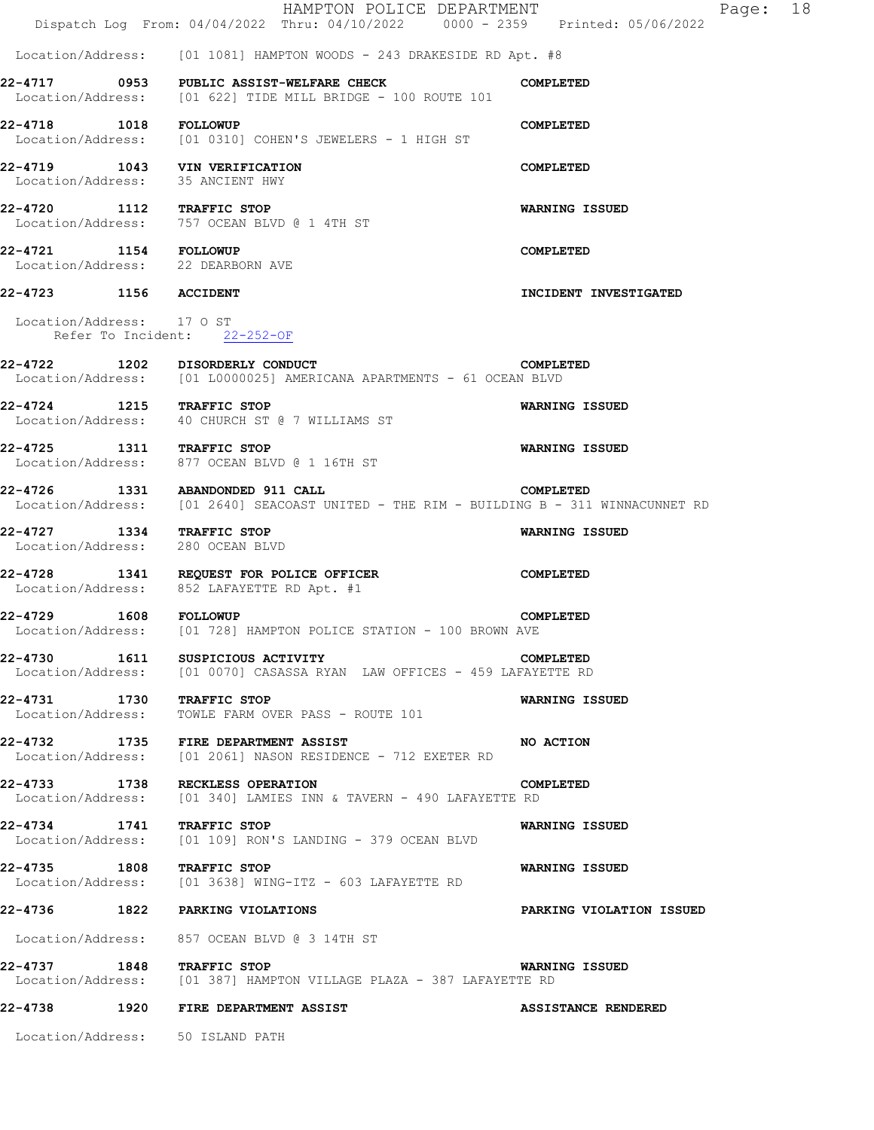|                           | HAMPTON POLICE DEPARTMENT<br>Dispatch Log From: 04/04/2022 Thru: 04/10/2022 0000 - 2359 Printed: 05/06/2022                 | Page: 18                        |
|---------------------------|-----------------------------------------------------------------------------------------------------------------------------|---------------------------------|
|                           | Location/Address: [01 1081] HAMPTON WOODS - 243 DRAKESIDE RD Apt. #8                                                        |                                 |
|                           | 22-4717 0953 PUBLIC ASSIST-WELFARE CHECK<br>Location/Address: [01 622] TIDE MILL BRIDGE - 100 ROUTE 101                     | COMPLETED                       |
| 22-4718 1018 FOLLOWUP     | Location/Address: [01 0310] COHEN'S JEWELERS - 1 HIGH ST                                                                    | COMPLETED                       |
|                           | 22-4719 1043 VIN VERIFICATION<br>Location/Address: 35 ANCIENT HWY                                                           | COMPLETED                       |
| 22-4720 1112 TRAFFIC STOP | Location/Address: 757 OCEAN BLVD @ 1 4TH ST                                                                                 | WARNING ISSUED                  |
| 22-4721 1154 FOLLOWUP     | Location/Address: 22 DEARBORN AVE                                                                                           | COMPLETED                       |
| 22-4723 1156 ACCIDENT     |                                                                                                                             | INCIDENT INVESTIGATED           |
| Location/Address: 17 0 ST | Refer To Incident: 22-252-OF                                                                                                |                                 |
|                           | 22-4722 1202 DISORDERLY CONDUCT<br>Location/Address: [01 L0000025] AMERICANA APARTMENTS - 61 OCEAN BLVD                     | COMPLETED                       |
| 22-4724 1215 TRAFFIC STOP | Location/Address: 40 CHURCH ST @ 7 WILLIAMS ST                                                                              | WARNING ISSUED                  |
| 22-4725 1311 TRAFFIC STOP | Location/Address: 877 OCEAN BLVD @ 1 16TH ST                                                                                | <b>WARNING ISSUED</b>           |
|                           | 22-4726 1331 ABANDONDED 911 CALL<br>Location/Address: [01 2640] SEACOAST UNITED - THE RIM - BUILDING B - 311 WINNACUNNET RD | COMPLETED                       |
|                           | 22-4727 1334 TRAFFIC STOP<br>Location/Address: 280 OCEAN BLVD                                                               | WARNING ISSUED                  |
|                           | 22-4728 1341 REQUEST FOR POLICE OFFICER<br>Location/Address: 852 LAFAYETTE RD Apt. #1                                       | <b>COMPLETED</b>                |
| 22-4729 1608 FOLLOWUP     | Location/Address: [01 728] HAMPTON POLICE STATION - 100 BROWN AVE                                                           | COMPLETED                       |
|                           | 22-4730 1611 SUSPICIOUS ACTIVITY<br>Location/Address: [01 0070] CASASSA RYAN LAW OFFICES - 459 LAFAYETTE RD                 | COMPLETED                       |
| 22-4731 1730 TRAFFIC STOP | Location/Address:     TOWLE FARM OVER PASS - ROUTE 101                                                                      | WARNING ISSUED                  |
|                           | 22-4732 1735 FIRE DEPARTMENT ASSIST<br>Location/Address: [01 2061] NASON RESIDENCE - 712 EXETER RD                          | NO ACTION                       |
|                           | 22-4733 1738 RECKLESS OPERATION<br>Location/Address: [01 340] LAMIES INN & TAVERN - 490 LAFAYETTE RD                        | COMPLETED                       |
| 22-4734 1741 TRAFFIC STOP | Location/Address: [01 109] RON'S LANDING - 379 OCEAN BLVD                                                                   | WARNING ISSUED                  |
| 22-4735 1808 TRAFFIC STOP | Location/Address: [01 3638] WING-ITZ - 603 LAFAYETTE RD                                                                     | WARNING ISSUED                  |
|                           | 22-4736 1822 PARKING VIOLATIONS                                                                                             | <b>PARKING VIOLATION ISSUED</b> |
|                           | Location/Address: 857 OCEAN BLVD @ 3 14TH ST                                                                                |                                 |
| 22-4737 1848 TRAFFIC STOP | Location/Address: [01 387] HAMPTON VILLAGE PLAZA - 387 LAFAYETTE RD                                                         | WARNING ISSUED                  |
|                           | 22-4738 1920 FIRE DEPARTMENT ASSIST                                                                                         | ASSISTANCE RENDERED             |
|                           | Location/Address: 50 ISLAND PATH                                                                                            |                                 |